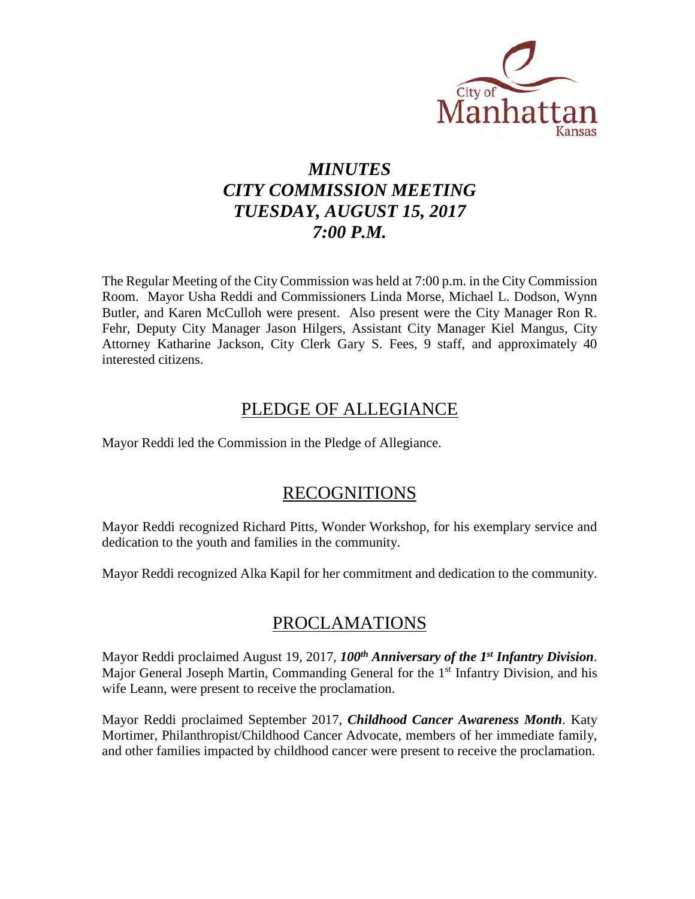

# *MINUTES CITY COMMISSION MEETING TUESDAY, AUGUST 15, 2017 7:00 P.M.*

The Regular Meeting of the City Commission was held at 7:00 p.m. in the City Commission Room. Mayor Usha Reddi and Commissioners Linda Morse, Michael L. Dodson, Wynn Butler, and Karen McCulloh were present. Also present were the City Manager Ron R. Fehr, Deputy City Manager Jason Hilgers, Assistant City Manager Kiel Mangus, City Attorney Katharine Jackson, City Clerk Gary S. Fees, 9 staff, and approximately 40 interested citizens.

## PLEDGE OF ALLEGIANCE

Mayor Reddi led the Commission in the Pledge of Allegiance.

## RECOGNITIONS

Mayor Reddi recognized Richard Pitts, Wonder Workshop, for his exemplary service and dedication to the youth and families in the community.

Mayor Reddi recognized Alka Kapil for her commitment and dedication to the community.

## PROCLAMATIONS

Mayor Reddi proclaimed August 19, 2017, *100th Anniversary of the 1st Infantry Division*. Major General Joseph Martin, Commanding General for the 1<sup>st</sup> Infantry Division, and his wife Leann, were present to receive the proclamation.

Mayor Reddi proclaimed September 2017, *Childhood Cancer Awareness Month*. Katy Mortimer, Philanthropist/Childhood Cancer Advocate, members of her immediate family, and other families impacted by childhood cancer were present to receive the proclamation.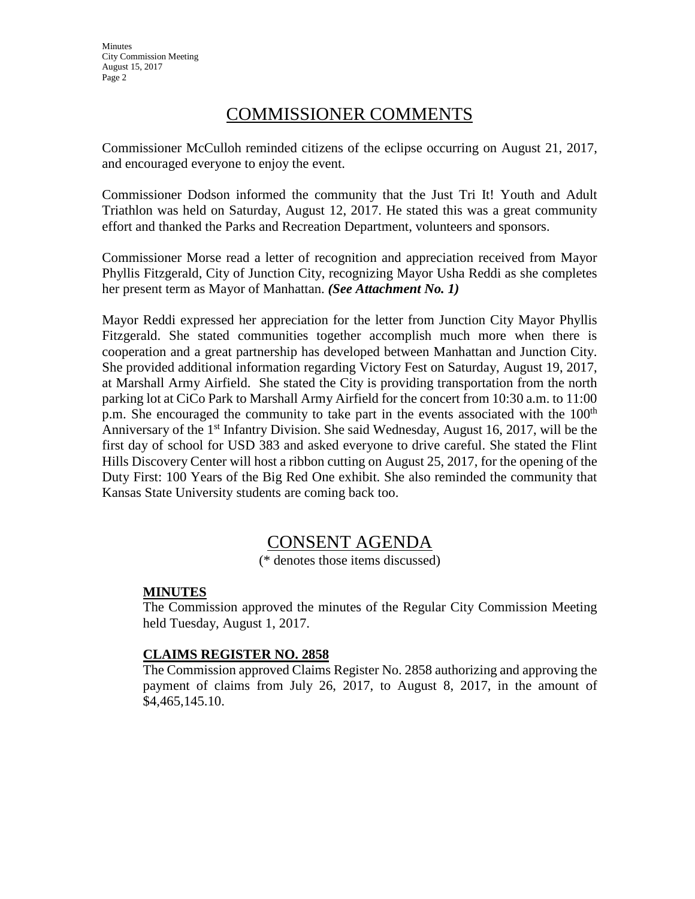## COMMISSIONER COMMENTS

Commissioner McCulloh reminded citizens of the eclipse occurring on August 21, 2017, and encouraged everyone to enjoy the event.

Commissioner Dodson informed the community that the Just Tri It! Youth and Adult Triathlon was held on Saturday, August 12, 2017. He stated this was a great community effort and thanked the Parks and Recreation Department, volunteers and sponsors.

Commissioner Morse read a letter of recognition and appreciation received from Mayor Phyllis Fitzgerald, City of Junction City, recognizing Mayor Usha Reddi as she completes her present term as Mayor of Manhattan. *(See Attachment No. 1)*

Mayor Reddi expressed her appreciation for the letter from Junction City Mayor Phyllis Fitzgerald. She stated communities together accomplish much more when there is cooperation and a great partnership has developed between Manhattan and Junction City. She provided additional information regarding Victory Fest on Saturday, August 19, 2017, at Marshall Army Airfield. She stated the City is providing transportation from the north parking lot at CiCo Park to Marshall Army Airfield for the concert from 10:30 a.m. to 11:00 p.m. She encouraged the community to take part in the events associated with the  $100<sup>th</sup>$ Anniversary of the 1<sup>st</sup> Infantry Division. She said Wednesday, August 16, 2017, will be the first day of school for USD 383 and asked everyone to drive careful. She stated the Flint Hills Discovery Center will host a ribbon cutting on August 25, 2017, for the opening of the Duty First: 100 Years of the Big Red One exhibit. She also reminded the community that Kansas State University students are coming back too.

## CONSENT AGENDA

(\* denotes those items discussed)

#### **MINUTES**

The Commission approved the minutes of the Regular City Commission Meeting held Tuesday, August 1, 2017.

#### **CLAIMS REGISTER NO. 2858**

The Commission approved Claims Register No. 2858 authorizing and approving the payment of claims from July 26, 2017, to August 8, 2017, in the amount of \$4,465,145.10.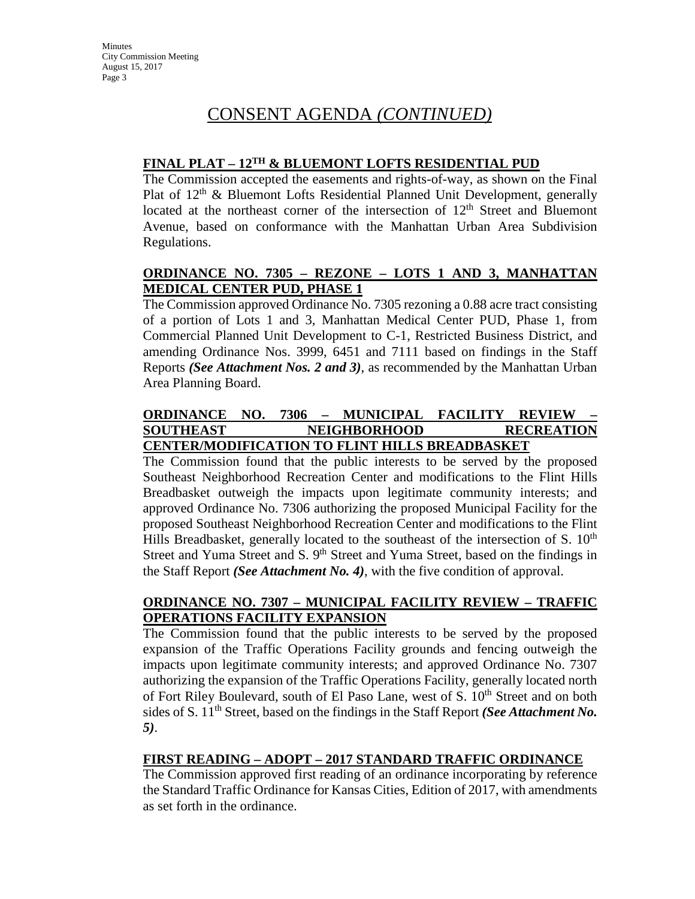## **FINAL PLAT – 12TH & BLUEMONT LOFTS RESIDENTIAL PUD**

The Commission accepted the easements and rights-of-way, as shown on the Final Plat of  $12<sup>th</sup>$  & Bluemont Lofts Residential Planned Unit Development, generally located at the northeast corner of the intersection of  $12<sup>th</sup>$  Street and Bluemont Avenue, based on conformance with the Manhattan Urban Area Subdivision Regulations.

## **ORDINANCE NO. 7305 – REZONE – LOTS 1 AND 3, MANHATTAN MEDICAL CENTER PUD, PHASE 1**

The Commission approved Ordinance No. 7305 rezoning a 0.88 acre tract consisting of a portion of Lots 1 and 3, Manhattan Medical Center PUD, Phase 1, from Commercial Planned Unit Development to C-1, Restricted Business District, and amending Ordinance Nos. 3999, 6451 and 7111 based on findings in the Staff Reports *(See Attachment Nos. 2 and 3)*, as recommended by the Manhattan Urban Area Planning Board.

#### **ORDINANCE NO. 7306 – MUNICIPAL FACILITY REVIEW – SOUTHEAST NEIGHBORHOOD RECREATION CENTER/MODIFICATION TO FLINT HILLS BREADBASKET**

The Commission found that the public interests to be served by the proposed Southeast Neighborhood Recreation Center and modifications to the Flint Hills Breadbasket outweigh the impacts upon legitimate community interests; and approved Ordinance No. 7306 authorizing the proposed Municipal Facility for the proposed Southeast Neighborhood Recreation Center and modifications to the Flint Hills Breadbasket, generally located to the southeast of the intersection of S.  $10<sup>th</sup>$ Street and Yuma Street and S. 9<sup>th</sup> Street and Yuma Street, based on the findings in the Staff Report *(See Attachment No. 4)*, with the five condition of approval.

## **ORDINANCE NO. 7307 – MUNICIPAL FACILITY REVIEW – TRAFFIC OPERATIONS FACILITY EXPANSION**

The Commission found that the public interests to be served by the proposed expansion of the Traffic Operations Facility grounds and fencing outweigh the impacts upon legitimate community interests; and approved Ordinance No. 7307 authorizing the expansion of the Traffic Operations Facility, generally located north of Fort Riley Boulevard, south of El Paso Lane, west of S.  $10<sup>th</sup>$  Street and on both sides of S. 11<sup>th</sup> Street, based on the findings in the Staff Report *(See Attachment No. 5)*.

## **FIRST READING – ADOPT – 2017 STANDARD TRAFFIC ORDINANCE**

The Commission approved first reading of an ordinance incorporating by reference the Standard Traffic Ordinance for Kansas Cities, Edition of 2017, with amendments as set forth in the ordinance.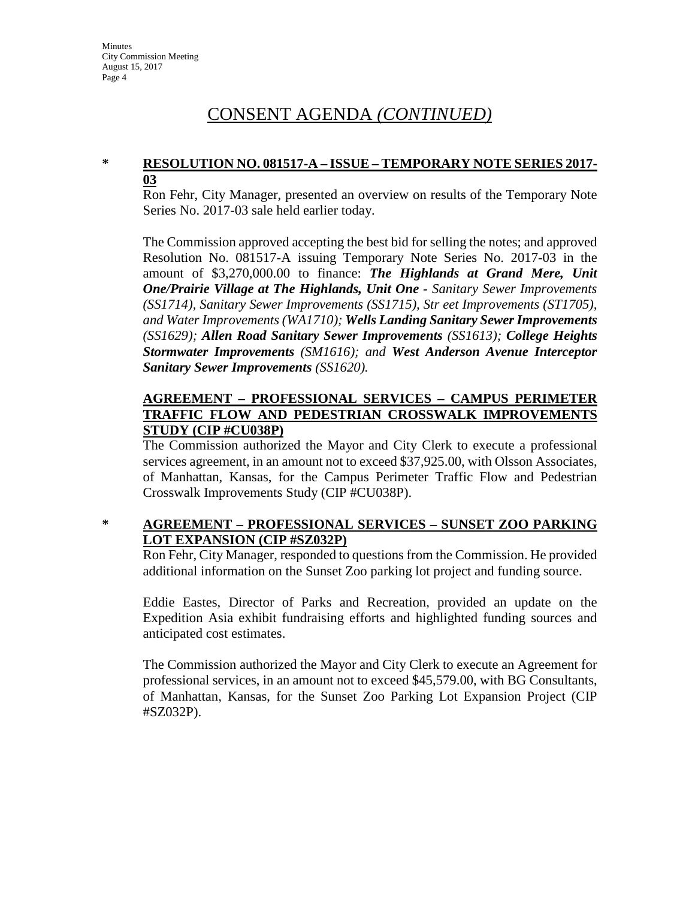### **\* RESOLUTION NO. 081517-A – ISSUE – TEMPORARY NOTE SERIES 2017- 03**

Ron Fehr, City Manager, presented an overview on results of the Temporary Note Series No. 2017-03 sale held earlier today.

The Commission approved accepting the best bid for selling the notes; and approved Resolution No. 081517-A issuing Temporary Note Series No. 2017-03 in the amount of \$3,270,000.00 to finance: *The Highlands at Grand Mere, Unit One/Prairie Village at The Highlands, Unit One - Sanitary Sewer Improvements (SS1714), Sanitary Sewer Improvements (SS1715), Str eet Improvements (ST1705), and Water Improvements (WA1710); Wells Landing Sanitary Sewer Improvements (SS1629); Allen Road Sanitary Sewer Improvements (SS1613); College Heights Stormwater Improvements (SM1616); and West Anderson Avenue Interceptor Sanitary Sewer Improvements (SS1620).*

### **AGREEMENT – PROFESSIONAL SERVICES – CAMPUS PERIMETER TRAFFIC FLOW AND PEDESTRIAN CROSSWALK IMPROVEMENTS STUDY (CIP #CU038P)**

The Commission authorized the Mayor and City Clerk to execute a professional services agreement, in an amount not to exceed \$37,925.00, with Olsson Associates, of Manhattan, Kansas, for the Campus Perimeter Traffic Flow and Pedestrian Crosswalk Improvements Study (CIP #CU038P).

## **\* AGREEMENT – PROFESSIONAL SERVICES – SUNSET ZOO PARKING LOT EXPANSION (CIP #SZ032P)**

Ron Fehr, City Manager, responded to questions from the Commission. He provided additional information on the Sunset Zoo parking lot project and funding source.

Eddie Eastes, Director of Parks and Recreation, provided an update on the Expedition Asia exhibit fundraising efforts and highlighted funding sources and anticipated cost estimates.

The Commission authorized the Mayor and City Clerk to execute an Agreement for professional services, in an amount not to exceed \$45,579.00, with BG Consultants, of Manhattan, Kansas, for the Sunset Zoo Parking Lot Expansion Project (CIP #SZ032P).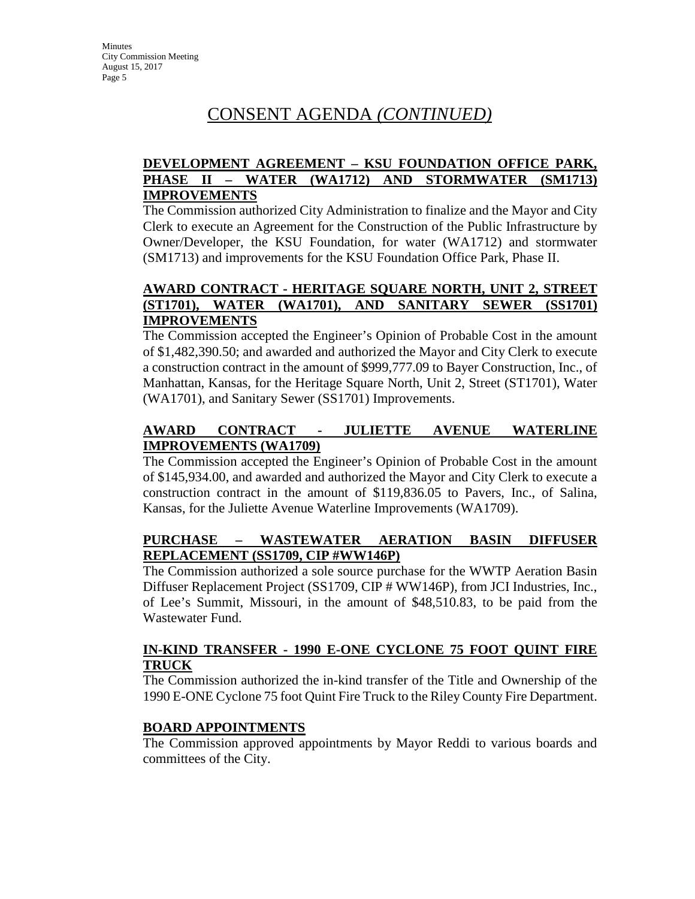## **DEVELOPMENT AGREEMENT – KSU FOUNDATION OFFICE PARK, PHASE II – WATER (WA1712) AND STORMWATER (SM1713) IMPROVEMENTS**

The Commission authorized City Administration to finalize and the Mayor and City Clerk to execute an Agreement for the Construction of the Public Infrastructure by Owner/Developer, the KSU Foundation, for water (WA1712) and stormwater (SM1713) and improvements for the KSU Foundation Office Park, Phase II.

### **AWARD CONTRACT - HERITAGE SQUARE NORTH, UNIT 2, STREET (ST1701), WATER (WA1701), AND SANITARY SEWER (SS1701) IMPROVEMENTS**

The Commission accepted the Engineer's Opinion of Probable Cost in the amount of \$1,482,390.50; and awarded and authorized the Mayor and City Clerk to execute a construction contract in the amount of \$999,777.09 to Bayer Construction, Inc., of Manhattan, Kansas, for the Heritage Square North, Unit 2, Street (ST1701), Water (WA1701), and Sanitary Sewer (SS1701) Improvements.

## **AWARD CONTRACT - JULIETTE AVENUE WATERLINE IMPROVEMENTS (WA1709)**

The Commission accepted the Engineer's Opinion of Probable Cost in the amount of \$145,934.00, and awarded and authorized the Mayor and City Clerk to execute a construction contract in the amount of \$119,836.05 to Pavers, Inc., of Salina, Kansas, for the Juliette Avenue Waterline Improvements (WA1709).

## **PURCHASE – WASTEWATER AERATION BASIN DIFFUSER REPLACEMENT (SS1709, CIP #WW146P)**

The Commission authorized a sole source purchase for the WWTP Aeration Basin Diffuser Replacement Project (SS1709, CIP # WW146P), from JCI Industries, Inc., of Lee's Summit, Missouri, in the amount of \$48,510.83, to be paid from the Wastewater Fund.

## **IN-KIND TRANSFER - 1990 E-ONE CYCLONE 75 FOOT QUINT FIRE TRUCK**

The Commission authorized the in-kind transfer of the Title and Ownership of the 1990 E-ONE Cyclone 75 foot Quint Fire Truck to the Riley County Fire Department.

## **BOARD APPOINTMENTS**

The Commission approved appointments by Mayor Reddi to various boards and committees of the City.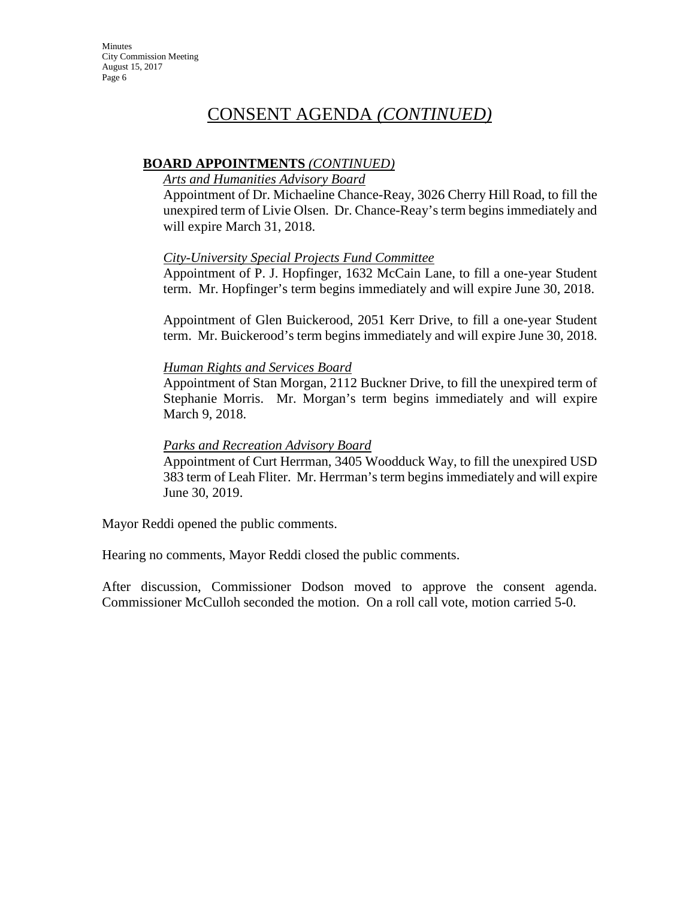## **BOARD APPOINTMENTS** *(CONTINUED)*

### *Arts and Humanities Advisory Board*

Appointment of Dr. Michaeline Chance-Reay, 3026 Cherry Hill Road, to fill the unexpired term of Livie Olsen. Dr. Chance-Reay's term begins immediately and will expire March 31, 2018.

## *City-University Special Projects Fund Committee*

Appointment of P. J. Hopfinger, 1632 McCain Lane, to fill a one-year Student term. Mr. Hopfinger's term begins immediately and will expire June 30, 2018.

Appointment of Glen Buickerood, 2051 Kerr Drive, to fill a one-year Student term. Mr. Buickerood's term begins immediately and will expire June 30, 2018.

### *Human Rights and Services Board*

Appointment of Stan Morgan, 2112 Buckner Drive, to fill the unexpired term of Stephanie Morris. Mr. Morgan's term begins immediately and will expire March 9, 2018.

### *Parks and Recreation Advisory Board*

Appointment of Curt Herrman, 3405 Woodduck Way, to fill the unexpired USD 383 term of Leah Fliter. Mr. Herrman's term begins immediately and will expire June 30, 2019.

Mayor Reddi opened the public comments.

Hearing no comments, Mayor Reddi closed the public comments.

After discussion, Commissioner Dodson moved to approve the consent agenda. Commissioner McCulloh seconded the motion. On a roll call vote, motion carried 5-0.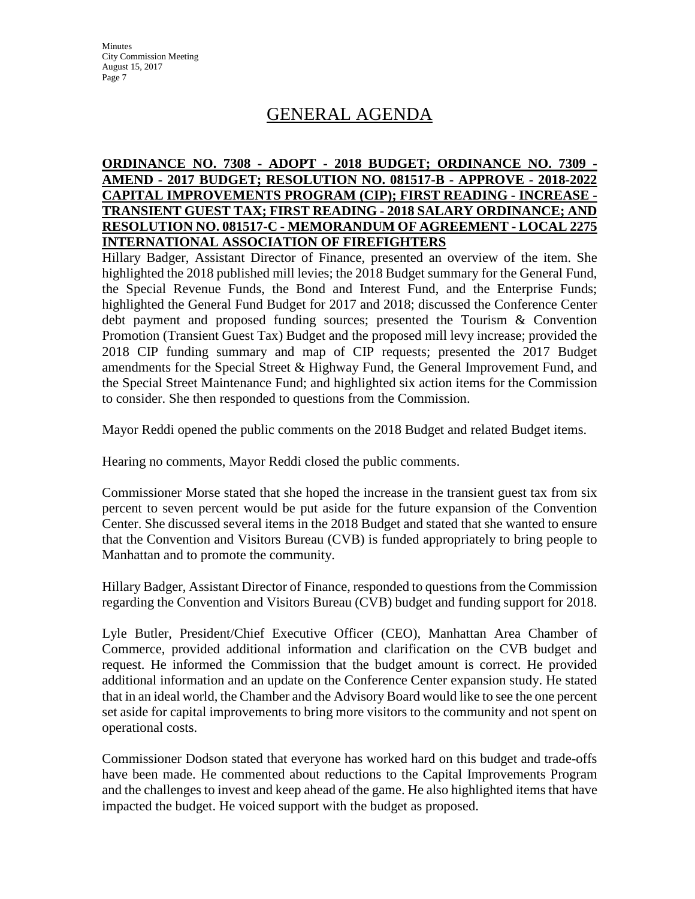# GENERAL AGENDA

### **ORDINANCE NO. 7308 - ADOPT - 2018 BUDGET; ORDINANCE NO. 7309 - AMEND - 2017 BUDGET; RESOLUTION NO. 081517-B - APPROVE - 2018-2022 CAPITAL IMPROVEMENTS PROGRAM (CIP); FIRST READING - INCREASE - TRANSIENT GUEST TAX; FIRST READING - 2018 SALARY ORDINANCE; AND RESOLUTION NO. 081517-C - MEMORANDUM OF AGREEMENT - LOCAL 2275 INTERNATIONAL ASSOCIATION OF FIREFIGHTERS**

Hillary Badger, Assistant Director of Finance, presented an overview of the item. She highlighted the 2018 published mill levies; the 2018 Budget summary for the General Fund, the Special Revenue Funds, the Bond and Interest Fund, and the Enterprise Funds; highlighted the General Fund Budget for 2017 and 2018; discussed the Conference Center debt payment and proposed funding sources; presented the Tourism & Convention Promotion (Transient Guest Tax) Budget and the proposed mill levy increase; provided the 2018 CIP funding summary and map of CIP requests; presented the 2017 Budget amendments for the Special Street & Highway Fund, the General Improvement Fund, and the Special Street Maintenance Fund; and highlighted six action items for the Commission to consider. She then responded to questions from the Commission.

Mayor Reddi opened the public comments on the 2018 Budget and related Budget items.

Hearing no comments, Mayor Reddi closed the public comments.

Commissioner Morse stated that she hoped the increase in the transient guest tax from six percent to seven percent would be put aside for the future expansion of the Convention Center. She discussed several items in the 2018 Budget and stated that she wanted to ensure that the Convention and Visitors Bureau (CVB) is funded appropriately to bring people to Manhattan and to promote the community.

Hillary Badger, Assistant Director of Finance, responded to questions from the Commission regarding the Convention and Visitors Bureau (CVB) budget and funding support for 2018.

Lyle Butler, President/Chief Executive Officer (CEO), Manhattan Area Chamber of Commerce, provided additional information and clarification on the CVB budget and request. He informed the Commission that the budget amount is correct. He provided additional information and an update on the Conference Center expansion study. He stated that in an ideal world, the Chamber and the Advisory Board would like to see the one percent set aside for capital improvements to bring more visitors to the community and not spent on operational costs.

Commissioner Dodson stated that everyone has worked hard on this budget and trade-offs have been made. He commented about reductions to the Capital Improvements Program and the challenges to invest and keep ahead of the game. He also highlighted items that have impacted the budget. He voiced support with the budget as proposed.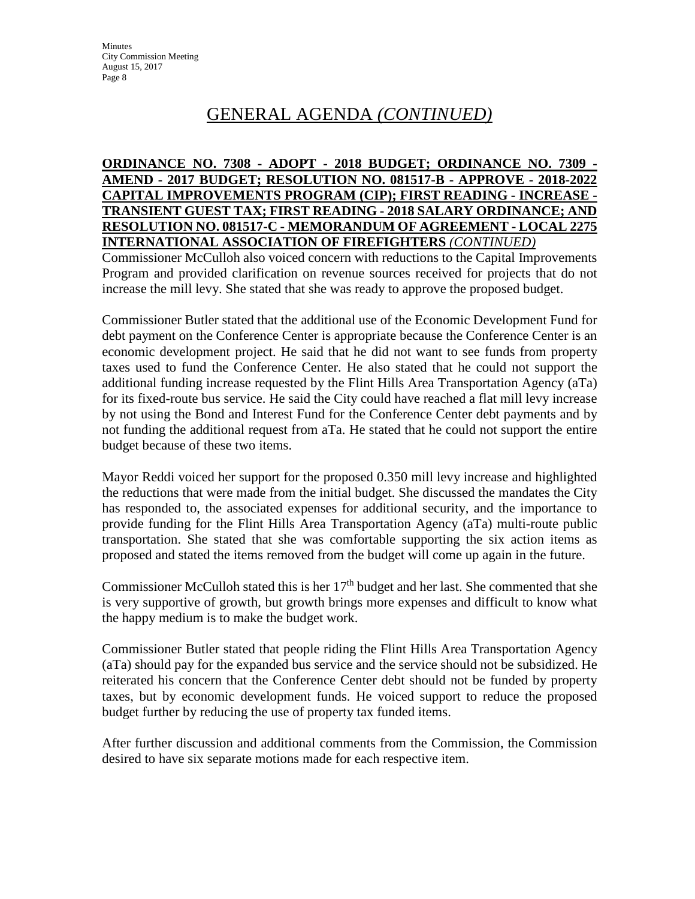# GENERAL AGENDA *(CONTINUED)*

### **ORDINANCE NO. 7308 - ADOPT - 2018 BUDGET; ORDINANCE NO. 7309 - AMEND - 2017 BUDGET; RESOLUTION NO. 081517-B - APPROVE - 2018-2022 CAPITAL IMPROVEMENTS PROGRAM (CIP); FIRST READING - INCREASE - TRANSIENT GUEST TAX; FIRST READING - 2018 SALARY ORDINANCE; AND RESOLUTION NO. 081517-C - MEMORANDUM OF AGREEMENT - LOCAL 2275 INTERNATIONAL ASSOCIATION OF FIREFIGHTERS** *(CONTINUED)*

Commissioner McCulloh also voiced concern with reductions to the Capital Improvements Program and provided clarification on revenue sources received for projects that do not increase the mill levy. She stated that she was ready to approve the proposed budget.

Commissioner Butler stated that the additional use of the Economic Development Fund for debt payment on the Conference Center is appropriate because the Conference Center is an economic development project. He said that he did not want to see funds from property taxes used to fund the Conference Center. He also stated that he could not support the additional funding increase requested by the Flint Hills Area Transportation Agency (aTa) for its fixed-route bus service. He said the City could have reached a flat mill levy increase by not using the Bond and Interest Fund for the Conference Center debt payments and by not funding the additional request from aTa. He stated that he could not support the entire budget because of these two items.

Mayor Reddi voiced her support for the proposed 0.350 mill levy increase and highlighted the reductions that were made from the initial budget. She discussed the mandates the City has responded to, the associated expenses for additional security, and the importance to provide funding for the Flint Hills Area Transportation Agency (aTa) multi-route public transportation. She stated that she was comfortable supporting the six action items as proposed and stated the items removed from the budget will come up again in the future.

Commissioner McCulloh stated this is her  $17<sup>th</sup>$  budget and her last. She commented that she is very supportive of growth, but growth brings more expenses and difficult to know what the happy medium is to make the budget work.

Commissioner Butler stated that people riding the Flint Hills Area Transportation Agency (aTa) should pay for the expanded bus service and the service should not be subsidized. He reiterated his concern that the Conference Center debt should not be funded by property taxes, but by economic development funds. He voiced support to reduce the proposed budget further by reducing the use of property tax funded items.

After further discussion and additional comments from the Commission, the Commission desired to have six separate motions made for each respective item.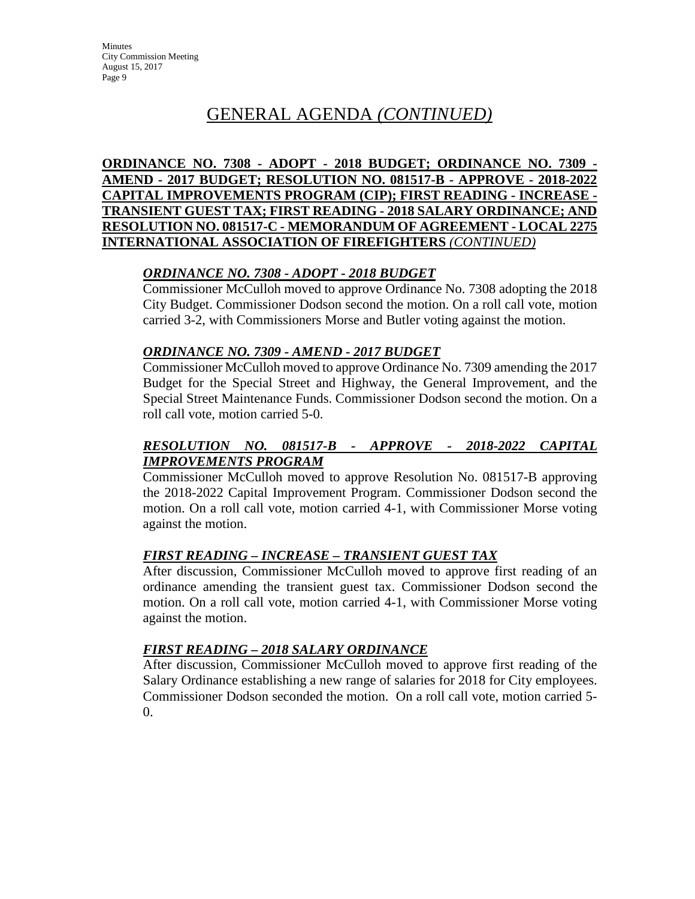## GENERAL AGENDA *(CONTINUED)*

**ORDINANCE NO. 7308 - ADOPT - 2018 BUDGET; ORDINANCE NO. 7309 - AMEND - 2017 BUDGET; RESOLUTION NO. 081517-B - APPROVE - 2018-2022 CAPITAL IMPROVEMENTS PROGRAM (CIP); FIRST READING - INCREASE - TRANSIENT GUEST TAX; FIRST READING - 2018 SALARY ORDINANCE; AND RESOLUTION NO. 081517-C - MEMORANDUM OF AGREEMENT - LOCAL 2275 INTERNATIONAL ASSOCIATION OF FIREFIGHTERS** *(CONTINUED)*

### *ORDINANCE NO. 7308 - ADOPT - 2018 BUDGET*

Commissioner McCulloh moved to approve Ordinance No. 7308 adopting the 2018 City Budget. Commissioner Dodson second the motion. On a roll call vote, motion carried 3-2, with Commissioners Morse and Butler voting against the motion.

### *ORDINANCE NO. 7309 - AMEND - 2017 BUDGET*

Commissioner McCulloh moved to approve Ordinance No. 7309 amending the 2017 Budget for the Special Street and Highway, the General Improvement, and the Special Street Maintenance Funds. Commissioner Dodson second the motion. On a roll call vote, motion carried 5-0.

## *RESOLUTION NO. 081517-B - APPROVE - 2018-2022 CAPITAL IMPROVEMENTS PROGRAM*

Commissioner McCulloh moved to approve Resolution No. 081517-B approving the 2018-2022 Capital Improvement Program. Commissioner Dodson second the motion. On a roll call vote, motion carried 4-1, with Commissioner Morse voting against the motion.

## *FIRST READING – INCREASE – TRANSIENT GUEST TAX*

After discussion, Commissioner McCulloh moved to approve first reading of an ordinance amending the transient guest tax. Commissioner Dodson second the motion. On a roll call vote, motion carried 4-1, with Commissioner Morse voting against the motion.

## *FIRST READING – 2018 SALARY ORDINANCE*

After discussion, Commissioner McCulloh moved to approve first reading of the Salary Ordinance establishing a new range of salaries for 2018 for City employees. Commissioner Dodson seconded the motion. On a roll call vote, motion carried 5- 0.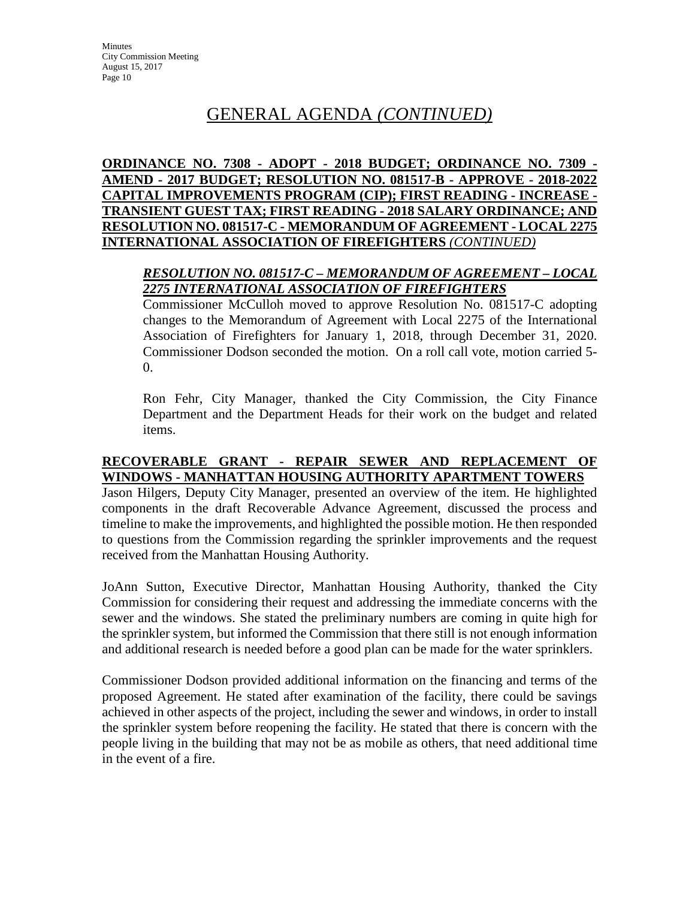## GENERAL AGENDA *(CONTINUED)*

**ORDINANCE NO. 7308 - ADOPT - 2018 BUDGET; ORDINANCE NO. 7309 - AMEND - 2017 BUDGET; RESOLUTION NO. 081517-B - APPROVE - 2018-2022 CAPITAL IMPROVEMENTS PROGRAM (CIP); FIRST READING - INCREASE - TRANSIENT GUEST TAX; FIRST READING - 2018 SALARY ORDINANCE; AND RESOLUTION NO. 081517-C - MEMORANDUM OF AGREEMENT - LOCAL 2275 INTERNATIONAL ASSOCIATION OF FIREFIGHTERS** *(CONTINUED)*

## *RESOLUTION NO. 081517-C – MEMORANDUM OF AGREEMENT – LOCAL 2275 INTERNATIONAL ASSOCIATION OF FIREFIGHTERS*

Commissioner McCulloh moved to approve Resolution No. 081517-C adopting changes to the Memorandum of Agreement with Local 2275 of the International Association of Firefighters for January 1, 2018, through December 31, 2020. Commissioner Dodson seconded the motion. On a roll call vote, motion carried 5- 0.

Ron Fehr, City Manager, thanked the City Commission, the City Finance Department and the Department Heads for their work on the budget and related items.

## **RECOVERABLE GRANT - REPAIR SEWER AND REPLACEMENT OF WINDOWS - MANHATTAN HOUSING AUTHORITY APARTMENT TOWERS**

Jason Hilgers, Deputy City Manager, presented an overview of the item. He highlighted components in the draft Recoverable Advance Agreement, discussed the process and timeline to make the improvements, and highlighted the possible motion. He then responded to questions from the Commission regarding the sprinkler improvements and the request received from the Manhattan Housing Authority.

JoAnn Sutton, Executive Director, Manhattan Housing Authority, thanked the City Commission for considering their request and addressing the immediate concerns with the sewer and the windows. She stated the preliminary numbers are coming in quite high for the sprinkler system, but informed the Commission that there still is not enough information and additional research is needed before a good plan can be made for the water sprinklers.

Commissioner Dodson provided additional information on the financing and terms of the proposed Agreement. He stated after examination of the facility, there could be savings achieved in other aspects of the project, including the sewer and windows, in order to install the sprinkler system before reopening the facility. He stated that there is concern with the people living in the building that may not be as mobile as others, that need additional time in the event of a fire.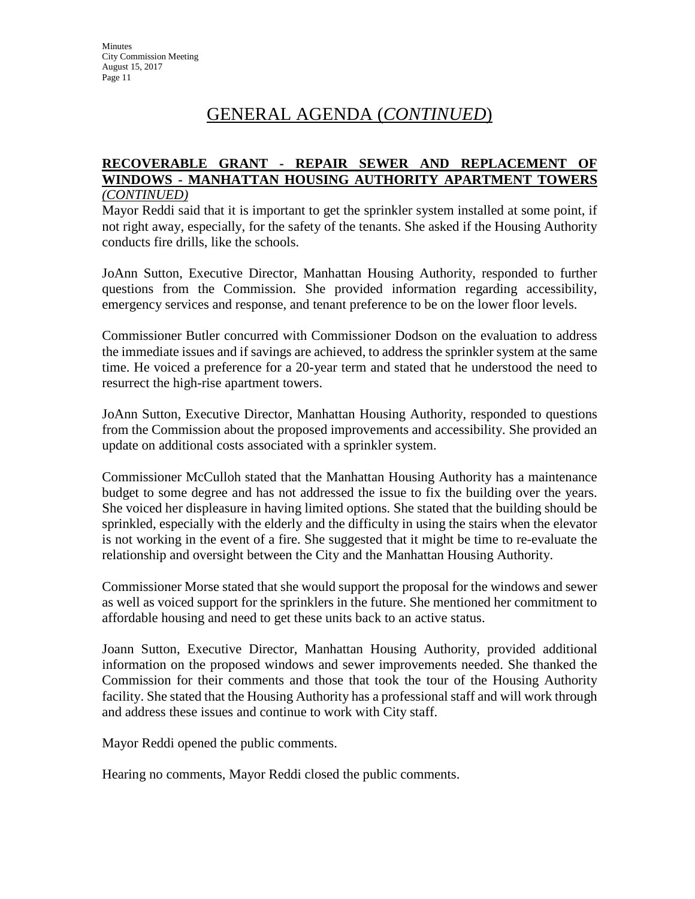## GENERAL AGENDA (*CONTINUED*)

#### **RECOVERABLE GRANT - REPAIR SEWER AND REPLACEMENT OF WINDOWS - MANHATTAN HOUSING AUTHORITY APARTMENT TOWERS** *(CONTINUED)*

Mayor Reddi said that it is important to get the sprinkler system installed at some point, if not right away, especially, for the safety of the tenants. She asked if the Housing Authority conducts fire drills, like the schools.

JoAnn Sutton, Executive Director, Manhattan Housing Authority, responded to further questions from the Commission. She provided information regarding accessibility, emergency services and response, and tenant preference to be on the lower floor levels.

Commissioner Butler concurred with Commissioner Dodson on the evaluation to address the immediate issues and if savings are achieved, to address the sprinkler system at the same time. He voiced a preference for a 20-year term and stated that he understood the need to resurrect the high-rise apartment towers.

JoAnn Sutton, Executive Director, Manhattan Housing Authority, responded to questions from the Commission about the proposed improvements and accessibility. She provided an update on additional costs associated with a sprinkler system.

Commissioner McCulloh stated that the Manhattan Housing Authority has a maintenance budget to some degree and has not addressed the issue to fix the building over the years. She voiced her displeasure in having limited options. She stated that the building should be sprinkled, especially with the elderly and the difficulty in using the stairs when the elevator is not working in the event of a fire. She suggested that it might be time to re-evaluate the relationship and oversight between the City and the Manhattan Housing Authority.

Commissioner Morse stated that she would support the proposal for the windows and sewer as well as voiced support for the sprinklers in the future. She mentioned her commitment to affordable housing and need to get these units back to an active status.

Joann Sutton, Executive Director, Manhattan Housing Authority, provided additional information on the proposed windows and sewer improvements needed. She thanked the Commission for their comments and those that took the tour of the Housing Authority facility. She stated that the Housing Authority has a professional staff and will work through and address these issues and continue to work with City staff.

Mayor Reddi opened the public comments.

Hearing no comments, Mayor Reddi closed the public comments.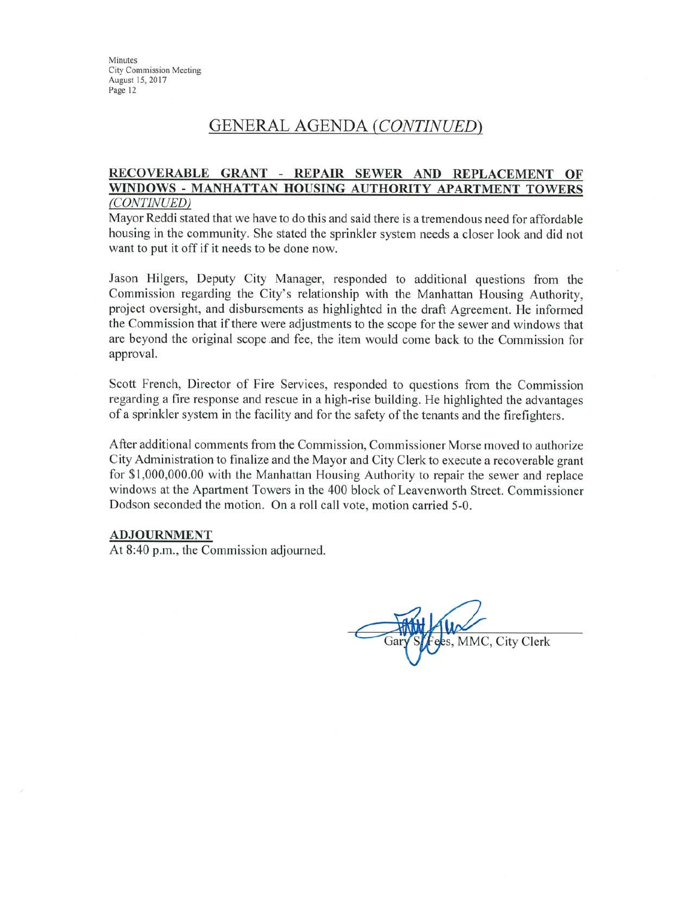## **GENERAL AGENDA (CONTINUED)**

#### RECOVERABLE GRANT - REPAIR SEWER AND REPLACEMENT OF WINDOWS - MANHATTAN HOUSING AUTHORITY APARTMENT TOWERS (CONTINUED)

Mayor Reddi stated that we have to do this and said there is a tremendous need for affordable housing in the community. She stated the sprinkler system needs a closer look and did not want to put it off if it needs to be done now.

Jason Hilgers, Deputy City Manager, responded to additional questions from the Commission regarding the City's relationship with the Manhattan Housing Authority, project oversight, and disbursements as highlighted in the draft Agreement. He informed the Commission that if there were adjustments to the scope for the sewer and windows that are beyond the original scope and fee, the item would come back to the Commission for approval.

Scott French, Director of Fire Services, responded to questions from the Commission regarding a fire response and rescue in a high-rise building. He highlighted the advantages of a sprinkler system in the facility and for the safety of the tenants and the firefighters.

After additional comments from the Commission, Commissioner Morse moved to authorize City Administration to finalize and the Mayor and City Clerk to execute a recoverable grant for \$1,000,000.00 with the Manhattan Housing Authority to repair the sewer and replace windows at the Apartment Towers in the 400 block of Leavenworth Street. Commissioner Dodson seconded the motion. On a roll call vote, motion carried 5-0.

#### **ADJOURNMENT**

At 8:40 p.m., the Commission adjourned.

es, MMC, City Clerk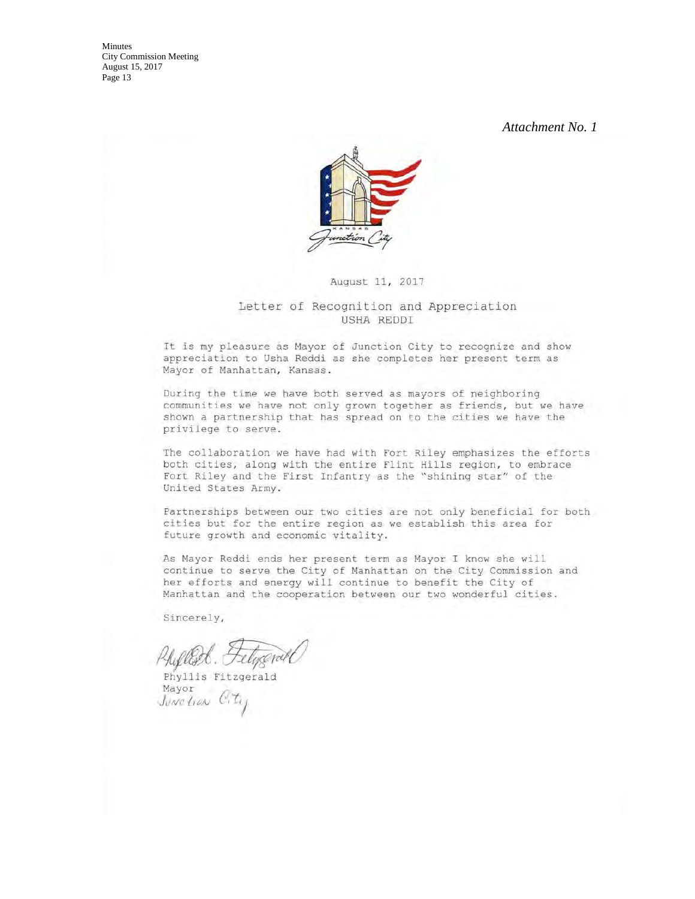*Attachment No. 1* 



August 11, 2017

#### Letter of Recognition and Appreciation USHA REDDI

It is my pleasure as Mayor of Junction City to recognize and show appreciation to Usha Reddi as she completes her present term as Mayor of Manhattan, Kansas.

During the time we have both served as mayors of neighboring communities we have not only grown together as friends, but we have shown a partnership that has spread on to the cities we have the privilege to serve.

The collaboration we have had with Fort Riley emphasizes the efforts both cities, along with the entire Flint Hills region, to embrace Fort Riley and the First Infantry as the "shining star" of the United States Army.

Partnerships between our two cities are not only beneficial for both cities but for the entire region as we establish this area for future growth and economic vitality.

As Mayor Reddi ends her present term as Mayor I know she will continue to serve the City of Manhattan on the City Commission and her efforts and energy will continue to benefit the City of Manhattan and the cooperation between our two wonderful cities.

Sincerely,

Phyllis Fitzgerald Mayor Junetian City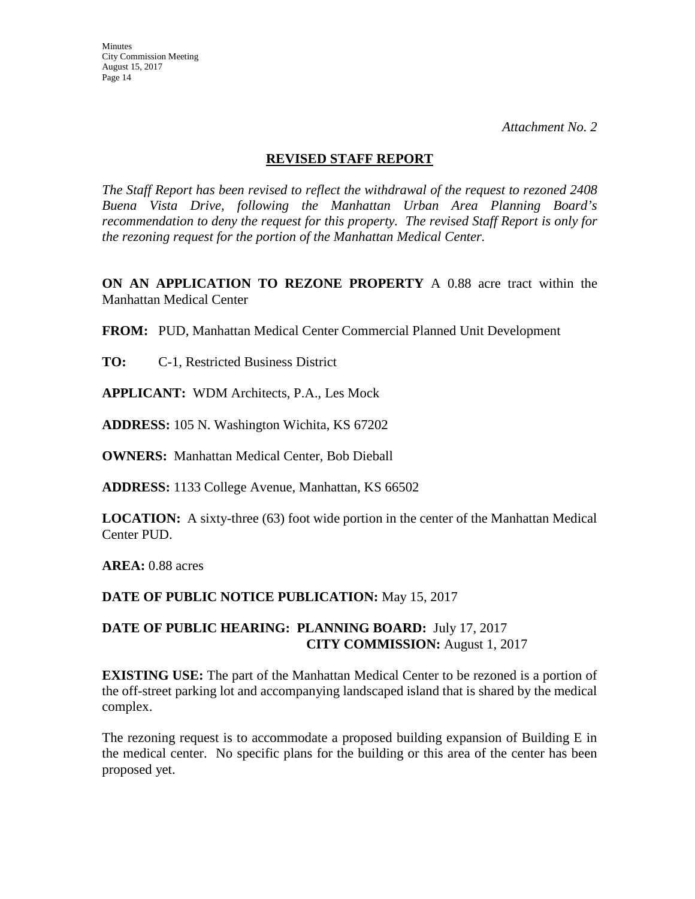*Attachment No. 2* 

#### **REVISED STAFF REPORT**

*The Staff Report has been revised to reflect the withdrawal of the request to rezoned 2408 Buena Vista Drive, following the Manhattan Urban Area Planning Board's recommendation to deny the request for this property. The revised Staff Report is only for the rezoning request for the portion of the Manhattan Medical Center.*

**ON AN APPLICATION TO REZONE PROPERTY** A 0.88 acre tract within the Manhattan Medical Center

**FROM:** PUD, Manhattan Medical Center Commercial Planned Unit Development

**TO:** C-1, Restricted Business District

**APPLICANT:** WDM Architects, P.A., Les Mock

**ADDRESS:** 105 N. Washington Wichita, KS 67202

**OWNERS:** Manhattan Medical Center, Bob Dieball

**ADDRESS:** 1133 College Avenue, Manhattan, KS 66502

**LOCATION:** A sixty-three (63) foot wide portion in the center of the Manhattan Medical Center PUD.

**AREA:** 0.88 acres

**DATE OF PUBLIC NOTICE PUBLICATION:** May 15, 2017

## **DATE OF PUBLIC HEARING: PLANNING BOARD:** July 17, 2017 **CITY COMMISSION:** August 1, 2017

**EXISTING USE:** The part of the Manhattan Medical Center to be rezoned is a portion of the off-street parking lot and accompanying landscaped island that is shared by the medical complex.

The rezoning request is to accommodate a proposed building expansion of Building E in the medical center. No specific plans for the building or this area of the center has been proposed yet.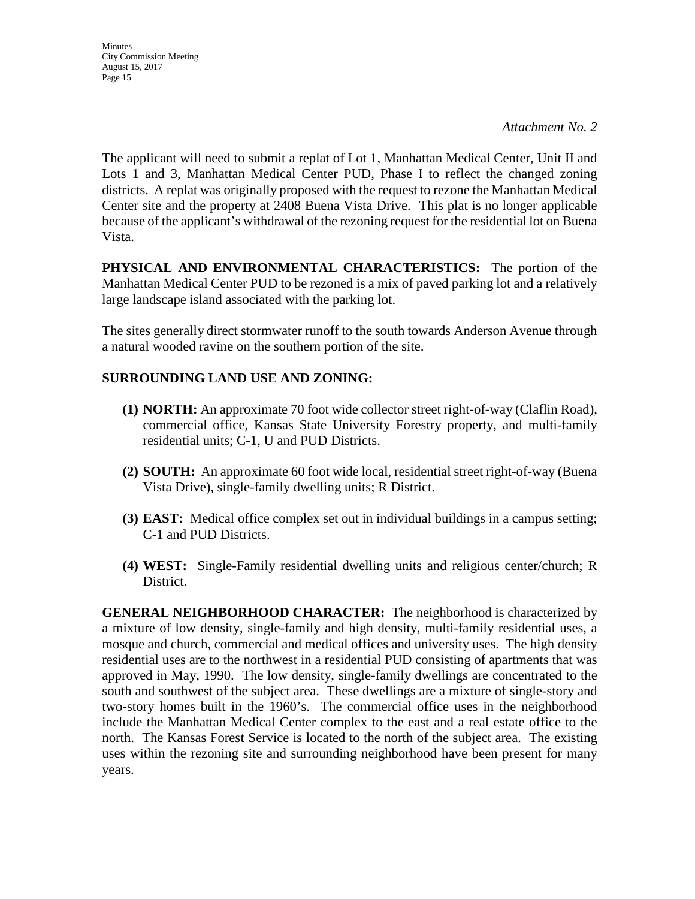*Attachment No. 2* 

The applicant will need to submit a replat of Lot 1, Manhattan Medical Center, Unit II and Lots 1 and 3, Manhattan Medical Center PUD, Phase I to reflect the changed zoning districts. A replat was originally proposed with the request to rezone the Manhattan Medical Center site and the property at 2408 Buena Vista Drive. This plat is no longer applicable because of the applicant's withdrawal of the rezoning request for the residential lot on Buena Vista.

**PHYSICAL AND ENVIRONMENTAL CHARACTERISTICS:** The portion of the Manhattan Medical Center PUD to be rezoned is a mix of paved parking lot and a relatively large landscape island associated with the parking lot.

The sites generally direct stormwater runoff to the south towards Anderson Avenue through a natural wooded ravine on the southern portion of the site.

## **SURROUNDING LAND USE AND ZONING:**

- **(1) NORTH:** An approximate 70 foot wide collector street right-of-way (Claflin Road), commercial office, Kansas State University Forestry property, and multi-family residential units; C-1, U and PUD Districts.
- **(2) SOUTH:** An approximate 60 foot wide local, residential street right-of-way (Buena Vista Drive), single-family dwelling units; R District.
- **(3) EAST:** Medical office complex set out in individual buildings in a campus setting; C-1 and PUD Districts.
- **(4) WEST:** Single-Family residential dwelling units and religious center/church; R District.

**GENERAL NEIGHBORHOOD CHARACTER:** The neighborhood is characterized by a mixture of low density, single-family and high density, multi-family residential uses, a mosque and church, commercial and medical offices and university uses. The high density residential uses are to the northwest in a residential PUD consisting of apartments that was approved in May, 1990. The low density, single-family dwellings are concentrated to the south and southwest of the subject area. These dwellings are a mixture of single-story and two-story homes built in the 1960's. The commercial office uses in the neighborhood include the Manhattan Medical Center complex to the east and a real estate office to the north. The Kansas Forest Service is located to the north of the subject area. The existing uses within the rezoning site and surrounding neighborhood have been present for many years.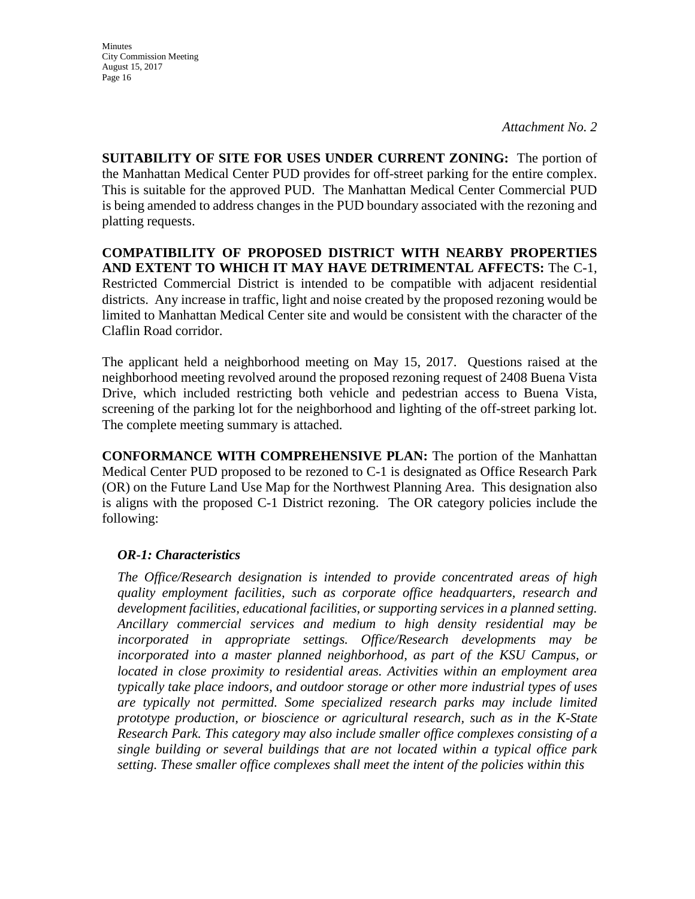*Attachment No. 2* 

**SUITABILITY OF SITE FOR USES UNDER CURRENT ZONING:** The portion of the Manhattan Medical Center PUD provides for off-street parking for the entire complex. This is suitable for the approved PUD. The Manhattan Medical Center Commercial PUD is being amended to address changes in the PUD boundary associated with the rezoning and platting requests.

**COMPATIBILITY OF PROPOSED DISTRICT WITH NEARBY PROPERTIES AND EXTENT TO WHICH IT MAY HAVE DETRIMENTAL AFFECTS:** The C-1, Restricted Commercial District is intended to be compatible with adjacent residential districts. Any increase in traffic, light and noise created by the proposed rezoning would be limited to Manhattan Medical Center site and would be consistent with the character of the Claflin Road corridor.

The applicant held a neighborhood meeting on May 15, 2017. Questions raised at the neighborhood meeting revolved around the proposed rezoning request of 2408 Buena Vista Drive, which included restricting both vehicle and pedestrian access to Buena Vista, screening of the parking lot for the neighborhood and lighting of the off-street parking lot. The complete meeting summary is attached.

**CONFORMANCE WITH COMPREHENSIVE PLAN:** The portion of the Manhattan Medical Center PUD proposed to be rezoned to C-1 is designated as Office Research Park (OR) on the Future Land Use Map for the Northwest Planning Area. This designation also is aligns with the proposed C-1 District rezoning. The OR category policies include the following:

## *OR-1: Characteristics*

*The Office/Research designation is intended to provide concentrated areas of high quality employment facilities, such as corporate office headquarters, research and development facilities, educational facilities, or supporting services in a planned setting. Ancillary commercial services and medium to high density residential may be incorporated in appropriate settings. Office/Research developments may be*  incorporated into a master planned neighborhood, as part of the KSU Campus, or *located in close proximity to residential areas. Activities within an employment area typically take place indoors, and outdoor storage or other more industrial types of uses are typically not permitted. Some specialized research parks may include limited prototype production, or bioscience or agricultural research, such as in the K-State Research Park. This category may also include smaller office complexes consisting of a single building or several buildings that are not located within a typical office park setting. These smaller office complexes shall meet the intent of the policies within this*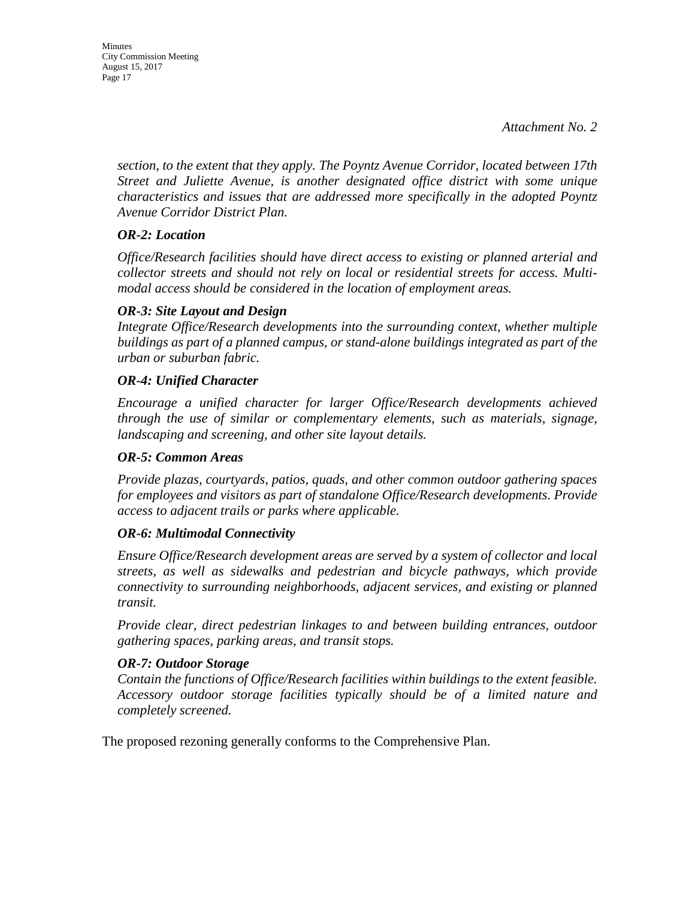**Minutes** City Commission Meeting August 15, 2017 Page 17

> *section, to the extent that they apply. The Poyntz Avenue Corridor, located between 17th Street and Juliette Avenue, is another designated office district with some unique characteristics and issues that are addressed more specifically in the adopted Poyntz Avenue Corridor District Plan.*

### *OR-2: Location*

*Office/Research facilities should have direct access to existing or planned arterial and collector streets and should not rely on local or residential streets for access. Multimodal access should be considered in the location of employment areas.* 

#### *OR-3: Site Layout and Design*

*Integrate Office/Research developments into the surrounding context, whether multiple buildings as part of a planned campus, or stand-alone buildings integrated as part of the urban or suburban fabric.* 

#### *OR-4: Unified Character*

*Encourage a unified character for larger Office/Research developments achieved through the use of similar or complementary elements, such as materials, signage, landscaping and screening, and other site layout details.* 

#### *OR-5: Common Areas*

*Provide plazas, courtyards, patios, quads, and other common outdoor gathering spaces for employees and visitors as part of standalone Office/Research developments. Provide access to adjacent trails or parks where applicable.* 

#### *OR-6: Multimodal Connectivity*

*Ensure Office/Research development areas are served by a system of collector and local streets, as well as sidewalks and pedestrian and bicycle pathways, which provide connectivity to surrounding neighborhoods, adjacent services, and existing or planned transit.* 

*Provide clear, direct pedestrian linkages to and between building entrances, outdoor gathering spaces, parking areas, and transit stops.* 

#### *OR-7: Outdoor Storage*

*Contain the functions of Office/Research facilities within buildings to the extent feasible. Accessory outdoor storage facilities typically should be of a limited nature and completely screened.*

The proposed rezoning generally conforms to the Comprehensive Plan.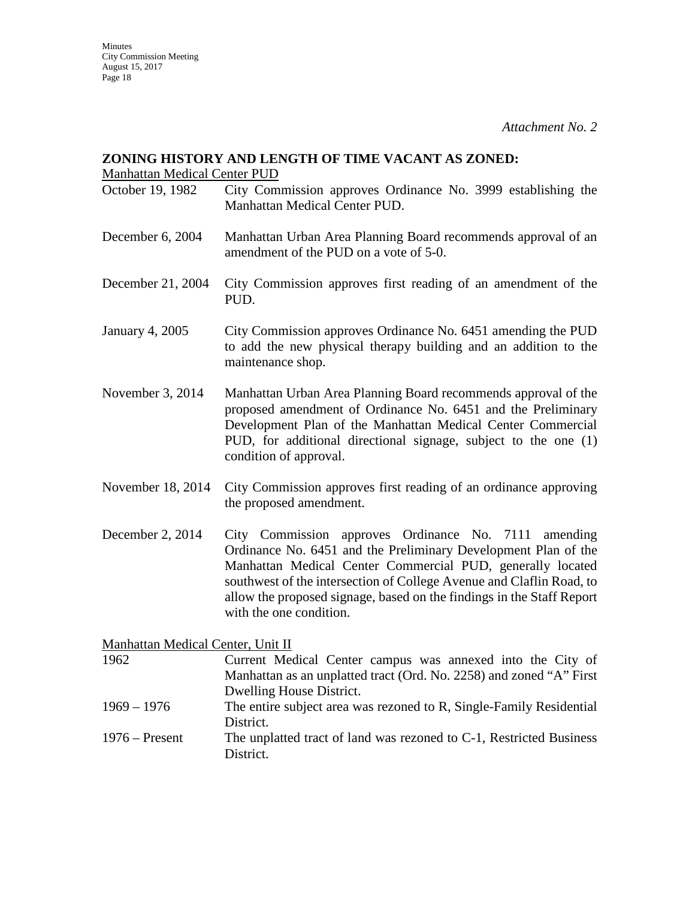#### **ZONING HISTORY AND LENGTH OF TIME VACANT AS ZONED:**

Manhattan Medical Center PUD

- October 19, 1982 City Commission approves Ordinance No. 3999 establishing the Manhattan Medical Center PUD.
- December 6, 2004 Manhattan Urban Area Planning Board recommends approval of an amendment of the PUD on a vote of 5-0.
- December 21, 2004 City Commission approves first reading of an amendment of the PUD.
- January 4, 2005 City Commission approves Ordinance No. 6451 amending the PUD to add the new physical therapy building and an addition to the maintenance shop.
- November 3, 2014 Manhattan Urban Area Planning Board recommends approval of the proposed amendment of Ordinance No. 6451 and the Preliminary Development Plan of the Manhattan Medical Center Commercial PUD, for additional directional signage, subject to the one (1) condition of approval.
- November 18, 2014 City Commission approves first reading of an ordinance approving the proposed amendment.
- December 2, 2014 City Commission approves Ordinance No. 7111 amending Ordinance No. 6451 and the Preliminary Development Plan of the Manhattan Medical Center Commercial PUD, generally located southwest of the intersection of College Avenue and Claflin Road, to allow the proposed signage, based on the findings in the Staff Report with the one condition.

Manhattan Medical Center, Unit II

- 1962 Current Medical Center campus was annexed into the City of Manhattan as an unplatted tract (Ord. No. 2258) and zoned "A" First Dwelling House District. 1969 – 1976 The entire subject area was rezoned to R, Single-Family Residential District. 1976 – Present The unplatted tract of land was rezoned to C-1, Restricted Business
- District.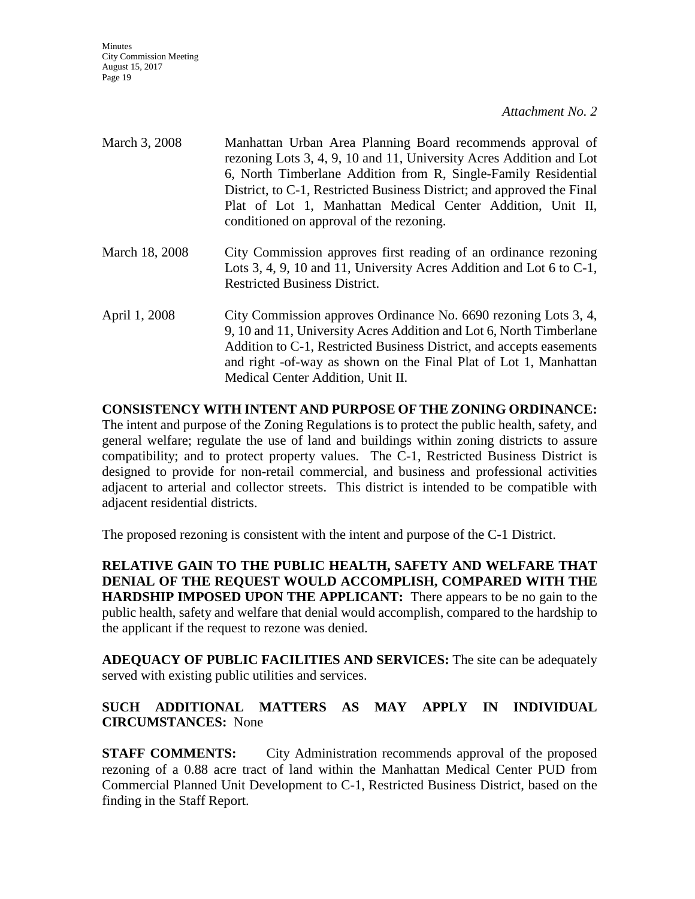| March 3, 2008  | Manhattan Urban Area Planning Board recommends approval of<br>rezoning Lots 3, 4, 9, 10 and 11, University Acres Addition and Lot<br>6, North Timberlane Addition from R, Single-Family Residential<br>District, to C-1, Restricted Business District; and approved the Final<br>Plat of Lot 1, Manhattan Medical Center Addition, Unit II,<br>conditioned on approval of the rezoning. |
|----------------|-----------------------------------------------------------------------------------------------------------------------------------------------------------------------------------------------------------------------------------------------------------------------------------------------------------------------------------------------------------------------------------------|
| March 18, 2008 | City Commission approves first reading of an ordinance rezoning<br>Lots 3, 4, 9, 10 and 11, University Acres Addition and Lot 6 to $C-1$ ,<br><b>Restricted Business District.</b>                                                                                                                                                                                                      |
| April 1, 2008  | City Commission approves Ordinance No. 6690 rezoning Lots 3, 4,<br>9, 10 and 11, University Acres Addition and Lot 6, North Timberlane<br>Addition to C-1, Restricted Business District, and accepts easements<br>and right -of-way as shown on the Final Plat of Lot 1, Manhattan<br>Medical Center Addition, Unit II.                                                                 |

**CONSISTENCY WITH INTENT AND PURPOSE OF THE ZONING ORDINANCE:** The intent and purpose of the Zoning Regulations is to protect the public health, safety, and general welfare; regulate the use of land and buildings within zoning districts to assure compatibility; and to protect property values. The C-1, Restricted Business District is designed to provide for non-retail commercial, and business and professional activities adjacent to arterial and collector streets. This district is intended to be compatible with adjacent residential districts.

The proposed rezoning is consistent with the intent and purpose of the C-1 District.

**RELATIVE GAIN TO THE PUBLIC HEALTH, SAFETY AND WELFARE THAT DENIAL OF THE REQUEST WOULD ACCOMPLISH, COMPARED WITH THE HARDSHIP IMPOSED UPON THE APPLICANT:** There appears to be no gain to the public health, safety and welfare that denial would accomplish, compared to the hardship to the applicant if the request to rezone was denied.

**ADEQUACY OF PUBLIC FACILITIES AND SERVICES:** The site can be adequately served with existing public utilities and services.

## **SUCH ADDITIONAL MATTERS AS MAY APPLY IN INDIVIDUAL CIRCUMSTANCES:** None

**STAFF COMMENTS:** City Administration recommends approval of the proposed rezoning of a 0.88 acre tract of land within the Manhattan Medical Center PUD from Commercial Planned Unit Development to C-1, Restricted Business District, based on the finding in the Staff Report.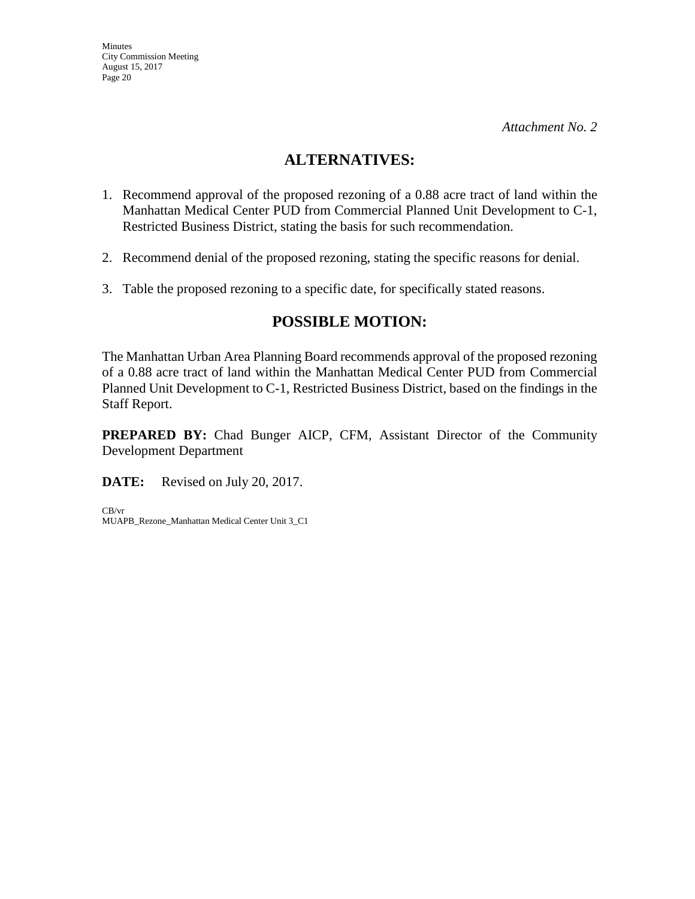## **ALTERNATIVES:**

- 1. Recommend approval of the proposed rezoning of a 0.88 acre tract of land within the Manhattan Medical Center PUD from Commercial Planned Unit Development to C-1, Restricted Business District, stating the basis for such recommendation.
- 2. Recommend denial of the proposed rezoning, stating the specific reasons for denial.
- 3. Table the proposed rezoning to a specific date, for specifically stated reasons.

## **POSSIBLE MOTION:**

The Manhattan Urban Area Planning Board recommends approval of the proposed rezoning of a 0.88 acre tract of land within the Manhattan Medical Center PUD from Commercial Planned Unit Development to C-1, Restricted Business District, based on the findings in the Staff Report.

**PREPARED BY:** Chad Bunger AICP, CFM, Assistant Director of the Community Development Department

**DATE:** Revised on July 20, 2017.

CB/vr MUAPB\_Rezone\_Manhattan Medical Center Unit 3\_C1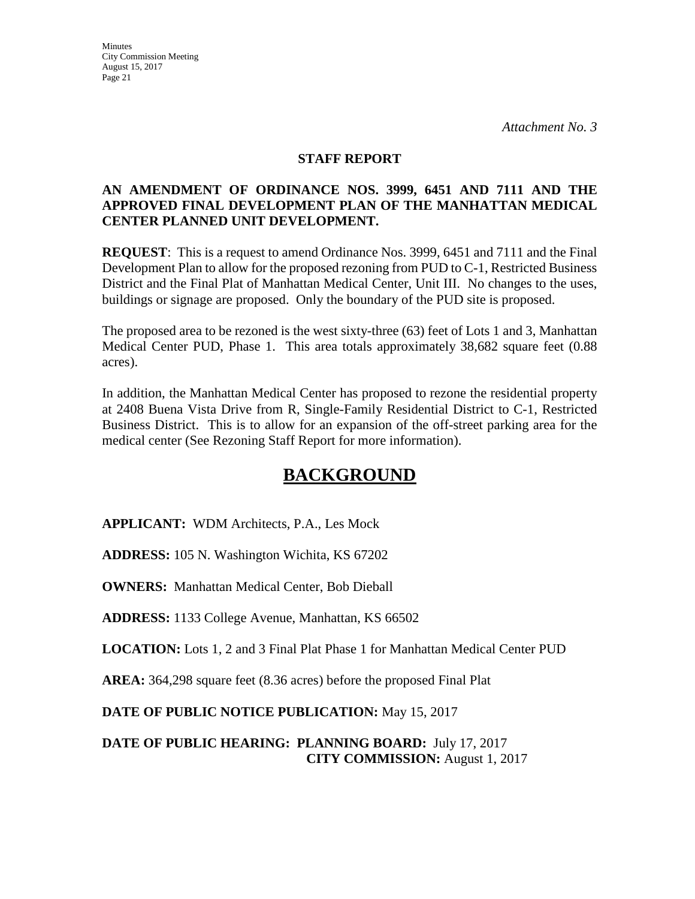#### **STAFF REPORT**

## **AN AMENDMENT OF ORDINANCE NOS. 3999, 6451 AND 7111 AND THE APPROVED FINAL DEVELOPMENT PLAN OF THE MANHATTAN MEDICAL CENTER PLANNED UNIT DEVELOPMENT.**

**REQUEST**: This is a request to amend Ordinance Nos. 3999, 6451 and 7111 and the Final Development Plan to allow for the proposed rezoning from PUD to C-1, Restricted Business District and the Final Plat of Manhattan Medical Center, Unit III. No changes to the uses, buildings or signage are proposed. Only the boundary of the PUD site is proposed.

The proposed area to be rezoned is the west sixty-three (63) feet of Lots 1 and 3, Manhattan Medical Center PUD, Phase 1. This area totals approximately 38,682 square feet (0.88 acres).

In addition, the Manhattan Medical Center has proposed to rezone the residential property at 2408 Buena Vista Drive from R, Single-Family Residential District to C-1, Restricted Business District. This is to allow for an expansion of the off-street parking area for the medical center (See Rezoning Staff Report for more information).

# **BACKGROUND**

**APPLICANT:** WDM Architects, P.A., Les Mock

**ADDRESS:** 105 N. Washington Wichita, KS 67202

**OWNERS:** Manhattan Medical Center, Bob Dieball

**ADDRESS:** 1133 College Avenue, Manhattan, KS 66502

**LOCATION:** Lots 1, 2 and 3 Final Plat Phase 1 for Manhattan Medical Center PUD

**AREA:** 364,298 square feet (8.36 acres) before the proposed Final Plat

**DATE OF PUBLIC NOTICE PUBLICATION:** May 15, 2017

**DATE OF PUBLIC HEARING: PLANNING BOARD:** July 17, 2017 **CITY COMMISSION:** August 1, 2017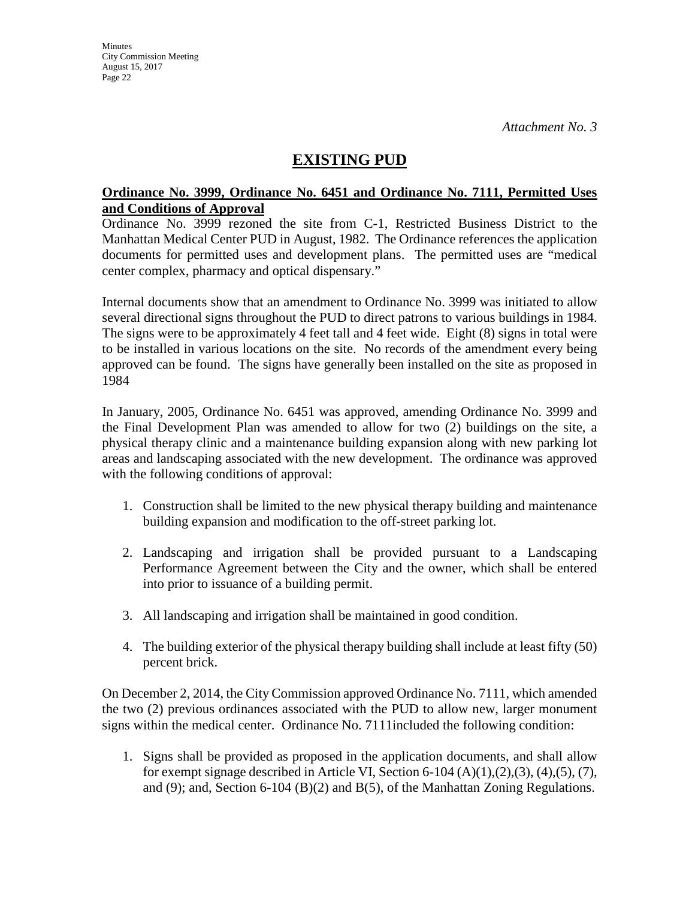## **EXISTING PUD**

#### **Ordinance No. 3999, Ordinance No. 6451 and Ordinance No. 7111, Permitted Uses and Conditions of Approval**

Ordinance No. 3999 rezoned the site from C-1, Restricted Business District to the Manhattan Medical Center PUD in August, 1982. The Ordinance references the application documents for permitted uses and development plans. The permitted uses are "medical center complex, pharmacy and optical dispensary."

Internal documents show that an amendment to Ordinance No. 3999 was initiated to allow several directional signs throughout the PUD to direct patrons to various buildings in 1984. The signs were to be approximately 4 feet tall and 4 feet wide. Eight (8) signs in total were to be installed in various locations on the site. No records of the amendment every being approved can be found. The signs have generally been installed on the site as proposed in 1984

In January, 2005, Ordinance No. 6451 was approved, amending Ordinance No. 3999 and the Final Development Plan was amended to allow for two (2) buildings on the site, a physical therapy clinic and a maintenance building expansion along with new parking lot areas and landscaping associated with the new development. The ordinance was approved with the following conditions of approval:

- 1. Construction shall be limited to the new physical therapy building and maintenance building expansion and modification to the off-street parking lot.
- 2. Landscaping and irrigation shall be provided pursuant to a Landscaping Performance Agreement between the City and the owner, which shall be entered into prior to issuance of a building permit.
- 3. All landscaping and irrigation shall be maintained in good condition.
- 4. The building exterior of the physical therapy building shall include at least fifty (50) percent brick.

On December 2, 2014, the City Commission approved Ordinance No. 7111, which amended the two (2) previous ordinances associated with the PUD to allow new, larger monument signs within the medical center. Ordinance No. 7111included the following condition:

1. Signs shall be provided as proposed in the application documents, and shall allow for exempt signage described in Article VI, Section 6-104  $(A)(1),(2),(3),(4),(5),(7)$ , and (9); and, Section 6-104 (B)(2) and B(5), of the Manhattan Zoning Regulations.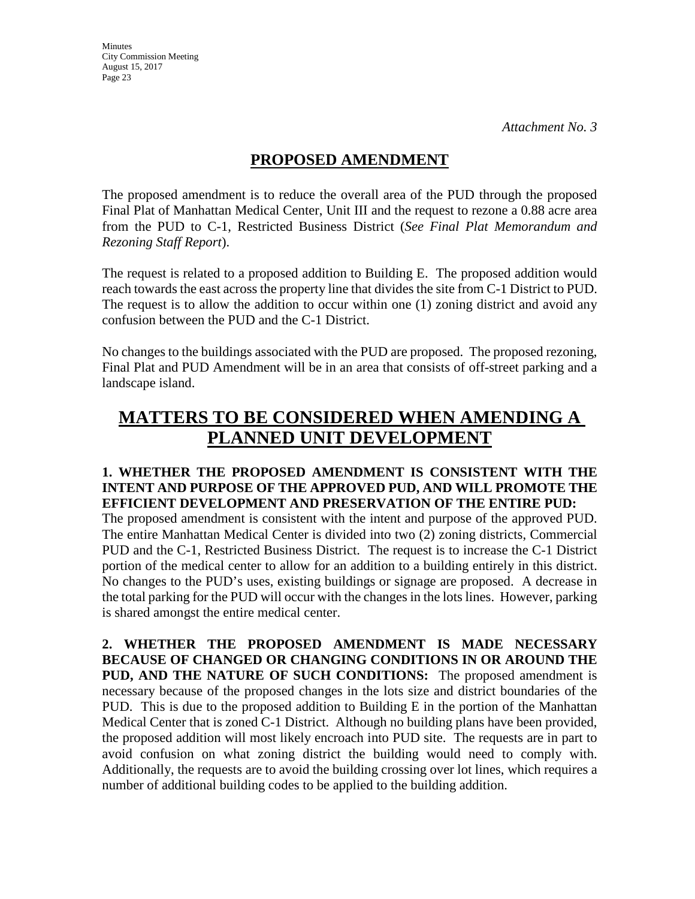## **PROPOSED AMENDMENT**

The proposed amendment is to reduce the overall area of the PUD through the proposed Final Plat of Manhattan Medical Center, Unit III and the request to rezone a 0.88 acre area from the PUD to C-1, Restricted Business District (*See Final Plat Memorandum and Rezoning Staff Report*).

The request is related to a proposed addition to Building E. The proposed addition would reach towards the east across the property line that divides the site from C-1 District to PUD. The request is to allow the addition to occur within one (1) zoning district and avoid any confusion between the PUD and the C-1 District.

No changes to the buildings associated with the PUD are proposed. The proposed rezoning, Final Plat and PUD Amendment will be in an area that consists of off-street parking and a landscape island.

# **MATTERS TO BE CONSIDERED WHEN AMENDING A PLANNED UNIT DEVELOPMENT**

### **1. WHETHER THE PROPOSED AMENDMENT IS CONSISTENT WITH THE INTENT AND PURPOSE OF THE APPROVED PUD, AND WILL PROMOTE THE EFFICIENT DEVELOPMENT AND PRESERVATION OF THE ENTIRE PUD:**

The proposed amendment is consistent with the intent and purpose of the approved PUD. The entire Manhattan Medical Center is divided into two (2) zoning districts, Commercial PUD and the C-1, Restricted Business District. The request is to increase the C-1 District portion of the medical center to allow for an addition to a building entirely in this district. No changes to the PUD's uses, existing buildings or signage are proposed. A decrease in the total parking for the PUD will occur with the changes in the lots lines. However, parking is shared amongst the entire medical center.

**2. WHETHER THE PROPOSED AMENDMENT IS MADE NECESSARY BECAUSE OF CHANGED OR CHANGING CONDITIONS IN OR AROUND THE PUD, AND THE NATURE OF SUCH CONDITIONS:** The proposed amendment is necessary because of the proposed changes in the lots size and district boundaries of the PUD. This is due to the proposed addition to Building E in the portion of the Manhattan Medical Center that is zoned C-1 District. Although no building plans have been provided, the proposed addition will most likely encroach into PUD site. The requests are in part to avoid confusion on what zoning district the building would need to comply with. Additionally, the requests are to avoid the building crossing over lot lines, which requires a number of additional building codes to be applied to the building addition.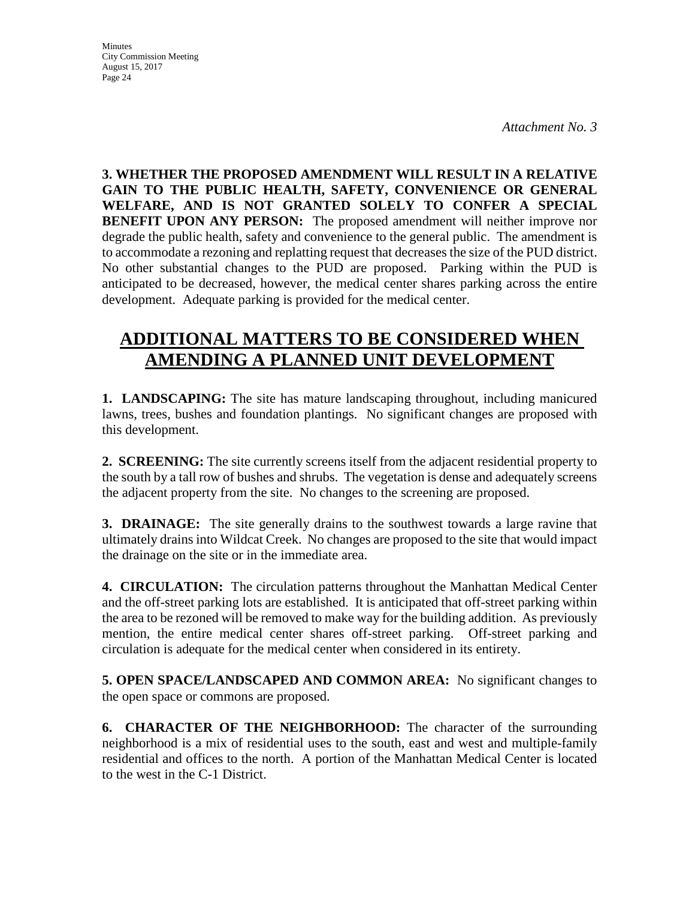**Minutes** City Commission Meeting August 15, 2017 Page 24

**3. WHETHER THE PROPOSED AMENDMENT WILL RESULT IN A RELATIVE GAIN TO THE PUBLIC HEALTH, SAFETY, CONVENIENCE OR GENERAL WELFARE, AND IS NOT GRANTED SOLELY TO CONFER A SPECIAL BENEFIT UPON ANY PERSON:** The proposed amendment will neither improve nor degrade the public health, safety and convenience to the general public. The amendment is to accommodate a rezoning and replatting request that decreases the size of the PUD district. No other substantial changes to the PUD are proposed. Parking within the PUD is anticipated to be decreased, however, the medical center shares parking across the entire development. Adequate parking is provided for the medical center.

# **ADDITIONAL MATTERS TO BE CONSIDERED WHEN AMENDING A PLANNED UNIT DEVELOPMENT**

**1. LANDSCAPING:** The site has mature landscaping throughout, including manicured lawns, trees, bushes and foundation plantings. No significant changes are proposed with this development.

**2. SCREENING:** The site currently screens itself from the adjacent residential property to the south by a tall row of bushes and shrubs. The vegetation is dense and adequately screens the adjacent property from the site. No changes to the screening are proposed.

**3. DRAINAGE:** The site generally drains to the southwest towards a large ravine that ultimately drains into Wildcat Creek. No changes are proposed to the site that would impact the drainage on the site or in the immediate area.

**4. CIRCULATION:** The circulation patterns throughout the Manhattan Medical Center and the off-street parking lots are established. It is anticipated that off-street parking within the area to be rezoned will be removed to make way for the building addition. As previously mention, the entire medical center shares off-street parking. Off-street parking and circulation is adequate for the medical center when considered in its entirety.

**5. OPEN SPACE/LANDSCAPED AND COMMON AREA:** No significant changes to the open space or commons are proposed.

**6. CHARACTER OF THE NEIGHBORHOOD:** The character of the surrounding neighborhood is a mix of residential uses to the south, east and west and multiple-family residential and offices to the north. A portion of the Manhattan Medical Center is located to the west in the C-1 District.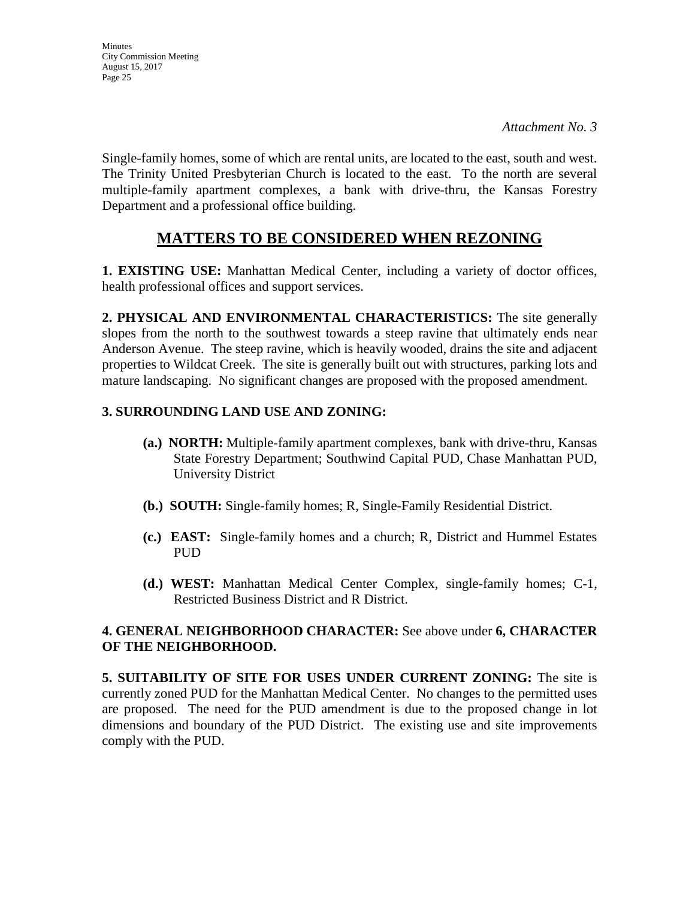**Minutes** City Commission Meeting August 15, 2017 Page 25

Single-family homes, some of which are rental units, are located to the east, south and west. The Trinity United Presbyterian Church is located to the east. To the north are several multiple-family apartment complexes, a bank with drive-thru, the Kansas Forestry Department and a professional office building.

## **MATTERS TO BE CONSIDERED WHEN REZONING**

**1. EXISTING USE:** Manhattan Medical Center, including a variety of doctor offices, health professional offices and support services.

**2. PHYSICAL AND ENVIRONMENTAL CHARACTERISTICS:** The site generally slopes from the north to the southwest towards a steep ravine that ultimately ends near Anderson Avenue. The steep ravine, which is heavily wooded, drains the site and adjacent properties to Wildcat Creek. The site is generally built out with structures, parking lots and mature landscaping. No significant changes are proposed with the proposed amendment.

## **3. SURROUNDING LAND USE AND ZONING:**

- **(a.) NORTH:** Multiple-family apartment complexes, bank with drive-thru, Kansas State Forestry Department; Southwind Capital PUD, Chase Manhattan PUD, University District
- **(b.) SOUTH:** Single-family homes; R, Single-Family Residential District.
- **(c.) EAST:** Single-family homes and a church; R, District and Hummel Estates PUD
- **(d.) WEST:** Manhattan Medical Center Complex, single-family homes; C-1, Restricted Business District and R District.

## **4. GENERAL NEIGHBORHOOD CHARACTER:** See above under **6, CHARACTER OF THE NEIGHBORHOOD.**

**5. SUITABILITY OF SITE FOR USES UNDER CURRENT ZONING:** The site is currently zoned PUD for the Manhattan Medical Center. No changes to the permitted uses are proposed. The need for the PUD amendment is due to the proposed change in lot dimensions and boundary of the PUD District. The existing use and site improvements comply with the PUD.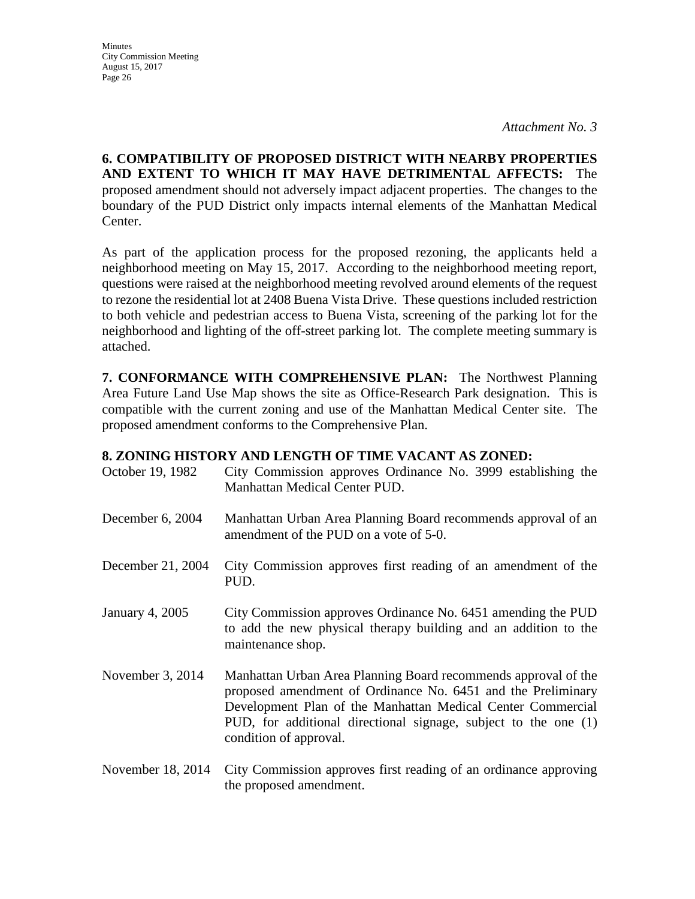**Minutes** City Commission Meeting August 15, 2017 Page 26

**6. COMPATIBILITY OF PROPOSED DISTRICT WITH NEARBY PROPERTIES AND EXTENT TO WHICH IT MAY HAVE DETRIMENTAL AFFECTS:** The proposed amendment should not adversely impact adjacent properties. The changes to the boundary of the PUD District only impacts internal elements of the Manhattan Medical Center.

As part of the application process for the proposed rezoning, the applicants held a neighborhood meeting on May 15, 2017. According to the neighborhood meeting report, questions were raised at the neighborhood meeting revolved around elements of the request to rezone the residential lot at 2408 Buena Vista Drive. These questions included restriction to both vehicle and pedestrian access to Buena Vista, screening of the parking lot for the neighborhood and lighting of the off-street parking lot. The complete meeting summary is attached.

**7. CONFORMANCE WITH COMPREHENSIVE PLAN:** The Northwest Planning Area Future Land Use Map shows the site as Office-Research Park designation. This is compatible with the current zoning and use of the Manhattan Medical Center site. The proposed amendment conforms to the Comprehensive Plan.

#### **8. ZONING HISTORY AND LENGTH OF TIME VACANT AS ZONED:**

| October 19, 1982  | City Commission approves Ordinance No. 3999 establishing the<br>Manhattan Medical Center PUD.                                                                                                                                                                                              |
|-------------------|--------------------------------------------------------------------------------------------------------------------------------------------------------------------------------------------------------------------------------------------------------------------------------------------|
| December 6, 2004  | Manhattan Urban Area Planning Board recommends approval of an<br>amendment of the PUD on a vote of 5-0.                                                                                                                                                                                    |
| December 21, 2004 | City Commission approves first reading of an amendment of the<br>PUD.                                                                                                                                                                                                                      |
| January 4, 2005   | City Commission approves Ordinance No. 6451 amending the PUD<br>to add the new physical therapy building and an addition to the<br>maintenance shop.                                                                                                                                       |
| November 3, 2014  | Manhattan Urban Area Planning Board recommends approval of the<br>proposed amendment of Ordinance No. 6451 and the Preliminary<br>Development Plan of the Manhattan Medical Center Commercial<br>PUD, for additional directional signage, subject to the one (1)<br>condition of approval. |
| November 18, 2014 | City Commission approves first reading of an ordinance approving                                                                                                                                                                                                                           |

the proposed amendment.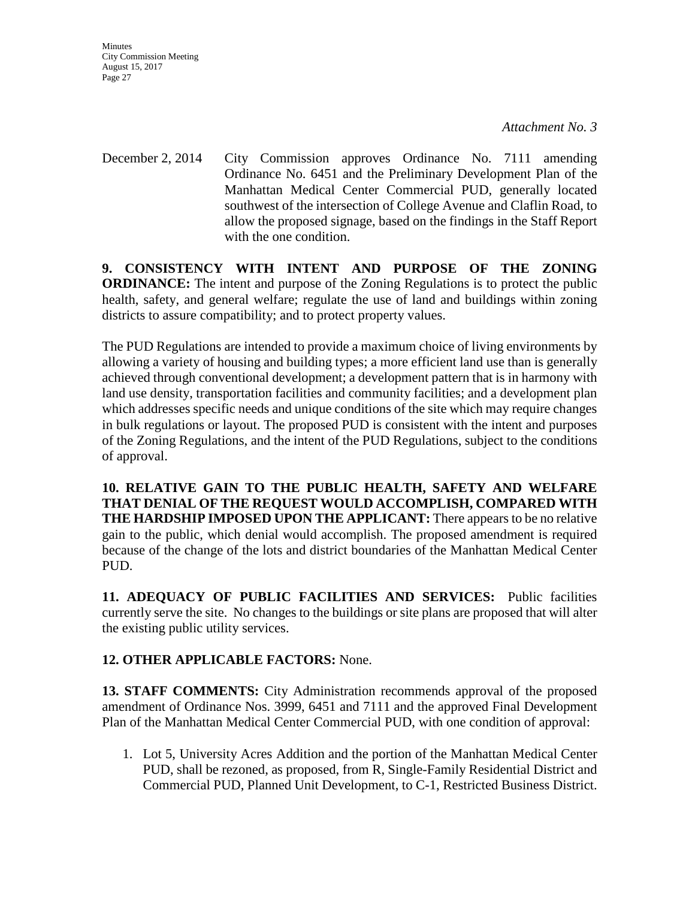**Minutes** City Commission Meeting August 15, 2017 Page 27

December 2, 2014 City Commission approves Ordinance No. 7111 amending Ordinance No. 6451 and the Preliminary Development Plan of the Manhattan Medical Center Commercial PUD, generally located southwest of the intersection of College Avenue and Claflin Road, to allow the proposed signage, based on the findings in the Staff Report with the one condition.

**9. CONSISTENCY WITH INTENT AND PURPOSE OF THE ZONING ORDINANCE:** The intent and purpose of the Zoning Regulations is to protect the public health, safety, and general welfare; regulate the use of land and buildings within zoning districts to assure compatibility; and to protect property values.

The PUD Regulations are intended to provide a maximum choice of living environments by allowing a variety of housing and building types; a more efficient land use than is generally achieved through conventional development; a development pattern that is in harmony with land use density, transportation facilities and community facilities; and a development plan which addresses specific needs and unique conditions of the site which may require changes in bulk regulations or layout. The proposed PUD is consistent with the intent and purposes of the Zoning Regulations, and the intent of the PUD Regulations, subject to the conditions of approval.

**10. RELATIVE GAIN TO THE PUBLIC HEALTH, SAFETY AND WELFARE THAT DENIAL OF THE REQUEST WOULD ACCOMPLISH, COMPARED WITH THE HARDSHIP IMPOSED UPON THE APPLICANT:** There appears to be no relative gain to the public, which denial would accomplish. The proposed amendment is required because of the change of the lots and district boundaries of the Manhattan Medical Center PUD.

**11. ADEQUACY OF PUBLIC FACILITIES AND SERVICES:** Public facilities currently serve the site. No changes to the buildings or site plans are proposed that will alter the existing public utility services.

## **12. OTHER APPLICABLE FACTORS:** None.

**13. STAFF COMMENTS:** City Administration recommends approval of the proposed amendment of Ordinance Nos. 3999, 6451 and 7111 and the approved Final Development Plan of the Manhattan Medical Center Commercial PUD, with one condition of approval:

1. Lot 5, University Acres Addition and the portion of the Manhattan Medical Center PUD, shall be rezoned, as proposed, from R, Single-Family Residential District and Commercial PUD, Planned Unit Development, to C-1, Restricted Business District.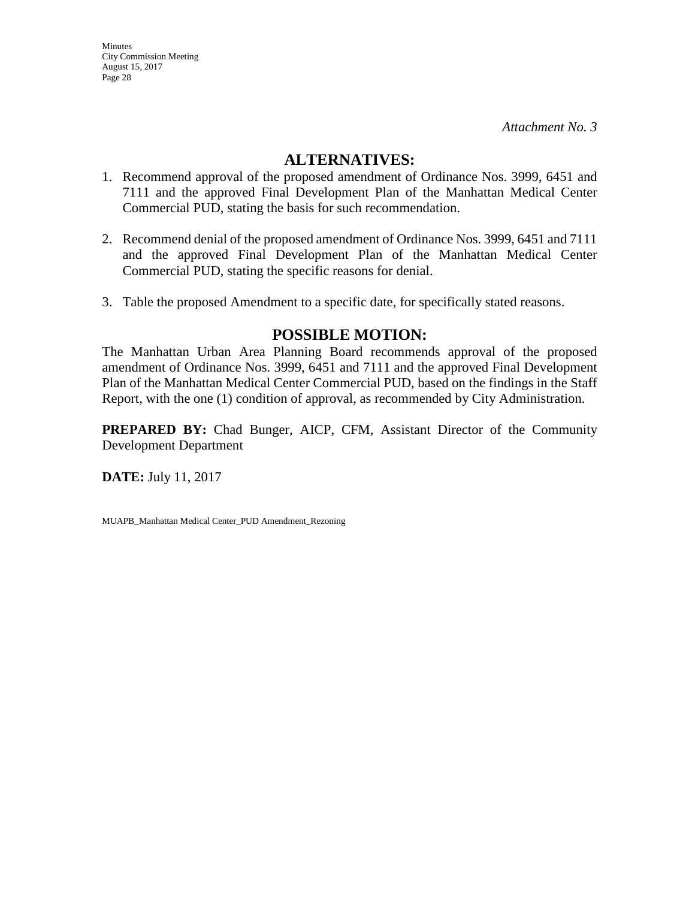## **ALTERNATIVES:**

- 1. Recommend approval of the proposed amendment of Ordinance Nos. 3999, 6451 and 7111 and the approved Final Development Plan of the Manhattan Medical Center Commercial PUD, stating the basis for such recommendation.
- 2. Recommend denial of the proposed amendment of Ordinance Nos. 3999, 6451 and 7111 and the approved Final Development Plan of the Manhattan Medical Center Commercial PUD, stating the specific reasons for denial.
- 3. Table the proposed Amendment to a specific date, for specifically stated reasons.

## **POSSIBLE MOTION:**

The Manhattan Urban Area Planning Board recommends approval of the proposed amendment of Ordinance Nos. 3999, 6451 and 7111 and the approved Final Development Plan of the Manhattan Medical Center Commercial PUD, based on the findings in the Staff Report, with the one (1) condition of approval, as recommended by City Administration.

**PREPARED BY:** Chad Bunger, AICP, CFM, Assistant Director of the Community Development Department

**DATE:** July 11, 2017

MUAPB\_Manhattan Medical Center\_PUD Amendment\_Rezoning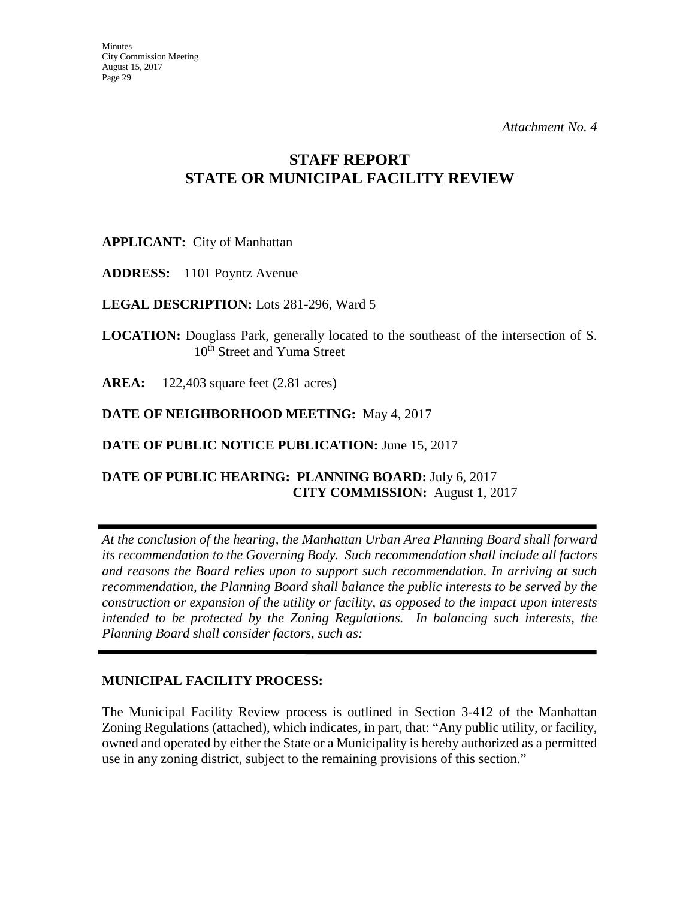## **STAFF REPORT STATE OR MUNICIPAL FACILITY REVIEW**

**APPLICANT:** City of Manhattan

**ADDRESS:** 1101 Poyntz Avenue

**LEGAL DESCRIPTION:** Lots 281-296, Ward 5

**LOCATION:** Douglass Park, generally located to the southeast of the intersection of S. 10<sup>th</sup> Street and Yuma Street

**AREA:** 122,403 square feet (2.81 acres)

**DATE OF NEIGHBORHOOD MEETING:** May 4, 2017

**DATE OF PUBLIC NOTICE PUBLICATION: June 15, 2017** 

## **DATE OF PUBLIC HEARING: PLANNING BOARD:** July 6, 2017 **CITY COMMISSION:** August 1, 2017

*At the conclusion of the hearing, the Manhattan Urban Area Planning Board shall forward its recommendation to the Governing Body. Such recommendation shall include all factors and reasons the Board relies upon to support such recommendation. In arriving at such recommendation, the Planning Board shall balance the public interests to be served by the construction or expansion of the utility or facility, as opposed to the impact upon interests intended to be protected by the Zoning Regulations. In balancing such interests, the Planning Board shall consider factors, such as:* 

## **MUNICIPAL FACILITY PROCESS:**

The Municipal Facility Review process is outlined in Section 3-412 of the Manhattan Zoning Regulations (attached), which indicates, in part, that: "Any public utility, or facility, owned and operated by either the State or a Municipality is hereby authorized as a permitted use in any zoning district, subject to the remaining provisions of this section."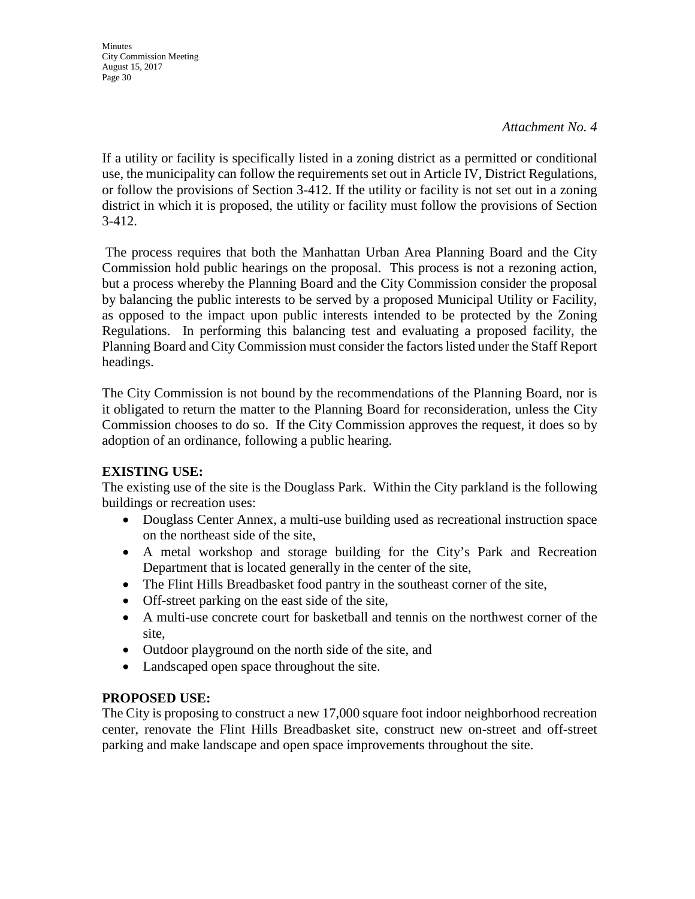*Attachment No. 4* 

If a utility or facility is specifically listed in a zoning district as a permitted or conditional use, the municipality can follow the requirements set out in Article IV, District Regulations, or follow the provisions of Section 3-412. If the utility or facility is not set out in a zoning district in which it is proposed, the utility or facility must follow the provisions of Section 3-412.

The process requires that both the Manhattan Urban Area Planning Board and the City Commission hold public hearings on the proposal. This process is not a rezoning action, but a process whereby the Planning Board and the City Commission consider the proposal by balancing the public interests to be served by a proposed Municipal Utility or Facility, as opposed to the impact upon public interests intended to be protected by the Zoning Regulations. In performing this balancing test and evaluating a proposed facility, the Planning Board and City Commission must consider the factors listed under the Staff Report headings.

The City Commission is not bound by the recommendations of the Planning Board, nor is it obligated to return the matter to the Planning Board for reconsideration, unless the City Commission chooses to do so. If the City Commission approves the request, it does so by adoption of an ordinance, following a public hearing.

## **EXISTING USE:**

The existing use of the site is the Douglass Park. Within the City parkland is the following buildings or recreation uses:

- Douglass Center Annex, a multi-use building used as recreational instruction space on the northeast side of the site,
- A metal workshop and storage building for the City's Park and Recreation Department that is located generally in the center of the site,
- The Flint Hills Breadbasket food pantry in the southeast corner of the site,
- Off-street parking on the east side of the site,
- A multi-use concrete court for basketball and tennis on the northwest corner of the site,
- Outdoor playground on the north side of the site, and
- Landscaped open space throughout the site.

## **PROPOSED USE:**

The City is proposing to construct a new 17,000 square foot indoor neighborhood recreation center, renovate the Flint Hills Breadbasket site, construct new on-street and off-street parking and make landscape and open space improvements throughout the site.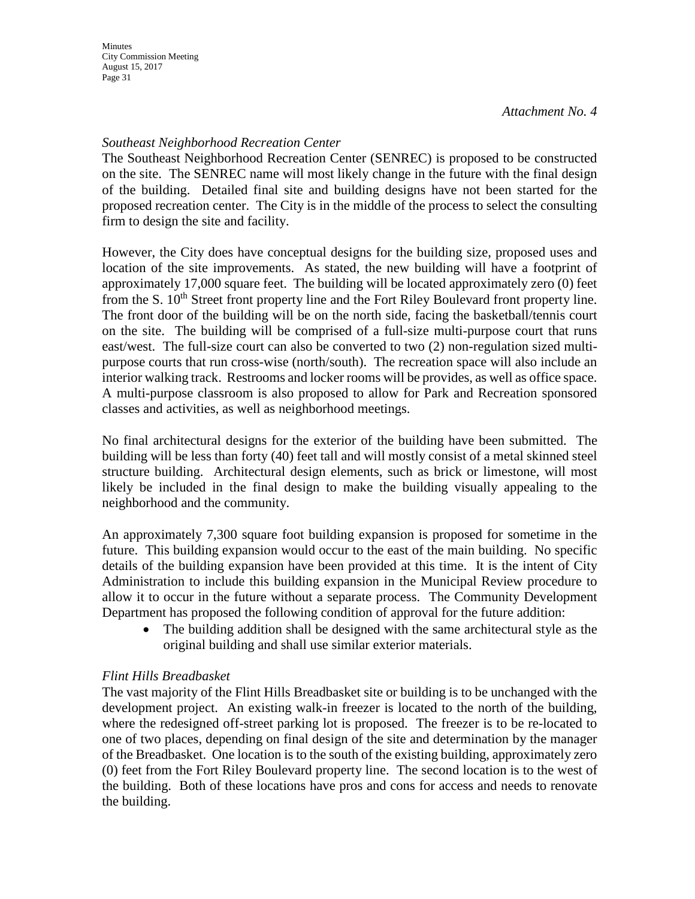## *Southeast Neighborhood Recreation Center*

The Southeast Neighborhood Recreation Center (SENREC) is proposed to be constructed on the site. The SENREC name will most likely change in the future with the final design of the building. Detailed final site and building designs have not been started for the proposed recreation center. The City is in the middle of the process to select the consulting firm to design the site and facility.

However, the City does have conceptual designs for the building size, proposed uses and location of the site improvements. As stated, the new building will have a footprint of approximately 17,000 square feet. The building will be located approximately zero (0) feet from the S. 10<sup>th</sup> Street front property line and the Fort Riley Boulevard front property line. The front door of the building will be on the north side, facing the basketball/tennis court on the site. The building will be comprised of a full-size multi-purpose court that runs east/west. The full-size court can also be converted to two (2) non-regulation sized multipurpose courts that run cross-wise (north/south). The recreation space will also include an interior walking track. Restrooms and locker rooms will be provides, as well as office space. A multi-purpose classroom is also proposed to allow for Park and Recreation sponsored classes and activities, as well as neighborhood meetings.

No final architectural designs for the exterior of the building have been submitted. The building will be less than forty (40) feet tall and will mostly consist of a metal skinned steel structure building. Architectural design elements, such as brick or limestone, will most likely be included in the final design to make the building visually appealing to the neighborhood and the community.

An approximately 7,300 square foot building expansion is proposed for sometime in the future. This building expansion would occur to the east of the main building. No specific details of the building expansion have been provided at this time. It is the intent of City Administration to include this building expansion in the Municipal Review procedure to allow it to occur in the future without a separate process. The Community Development Department has proposed the following condition of approval for the future addition:

• The building addition shall be designed with the same architectural style as the original building and shall use similar exterior materials.

## *Flint Hills Breadbasket*

The vast majority of the Flint Hills Breadbasket site or building is to be unchanged with the development project. An existing walk-in freezer is located to the north of the building, where the redesigned off-street parking lot is proposed. The freezer is to be re-located to one of two places, depending on final design of the site and determination by the manager of the Breadbasket. One location is to the south of the existing building, approximately zero (0) feet from the Fort Riley Boulevard property line. The second location is to the west of the building. Both of these locations have pros and cons for access and needs to renovate the building.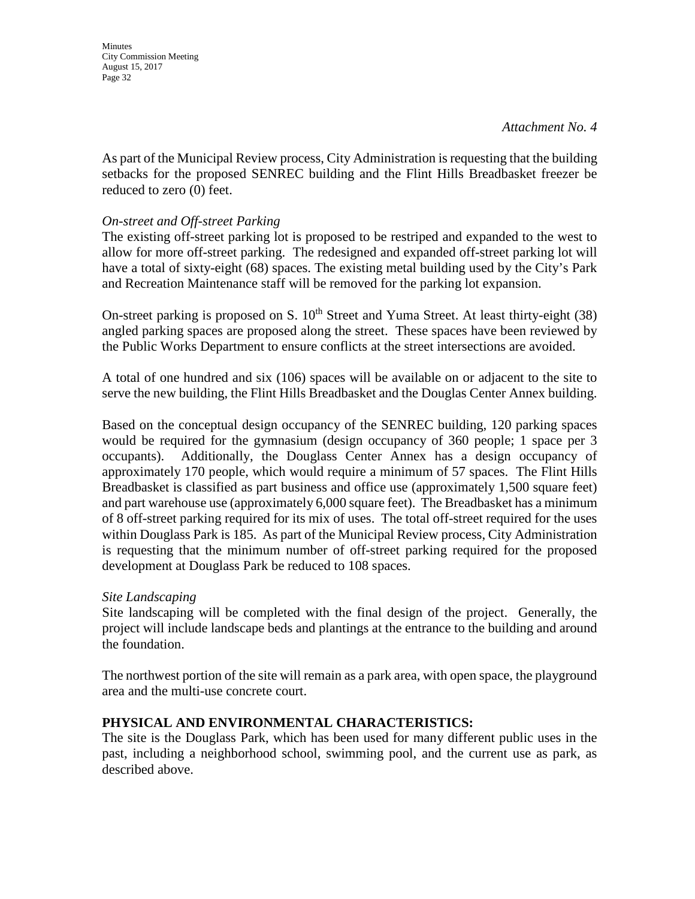**Minutes** City Commission Meeting August 15, 2017 Page 32

As part of the Municipal Review process, City Administration is requesting that the building setbacks for the proposed SENREC building and the Flint Hills Breadbasket freezer be reduced to zero (0) feet.

### *On-street and Off-street Parking*

The existing off-street parking lot is proposed to be restriped and expanded to the west to allow for more off-street parking. The redesigned and expanded off-street parking lot will have a total of sixty-eight (68) spaces. The existing metal building used by the City's Park and Recreation Maintenance staff will be removed for the parking lot expansion.

On-street parking is proposed on S.  $10<sup>th</sup>$  Street and Yuma Street. At least thirty-eight (38) angled parking spaces are proposed along the street. These spaces have been reviewed by the Public Works Department to ensure conflicts at the street intersections are avoided.

A total of one hundred and six (106) spaces will be available on or adjacent to the site to serve the new building, the Flint Hills Breadbasket and the Douglas Center Annex building.

Based on the conceptual design occupancy of the SENREC building, 120 parking spaces would be required for the gymnasium (design occupancy of 360 people; 1 space per 3 occupants). Additionally, the Douglass Center Annex has a design occupancy of approximately 170 people, which would require a minimum of 57 spaces. The Flint Hills Breadbasket is classified as part business and office use (approximately 1,500 square feet) and part warehouse use (approximately 6,000 square feet). The Breadbasket has a minimum of 8 off-street parking required for its mix of uses. The total off-street required for the uses within Douglass Park is 185. As part of the Municipal Review process, City Administration is requesting that the minimum number of off-street parking required for the proposed development at Douglass Park be reduced to 108 spaces.

#### *Site Landscaping*

Site landscaping will be completed with the final design of the project. Generally, the project will include landscape beds and plantings at the entrance to the building and around the foundation.

The northwest portion of the site will remain as a park area, with open space, the playground area and the multi-use concrete court.

#### **PHYSICAL AND ENVIRONMENTAL CHARACTERISTICS:**

The site is the Douglass Park, which has been used for many different public uses in the past, including a neighborhood school, swimming pool, and the current use as park, as described above.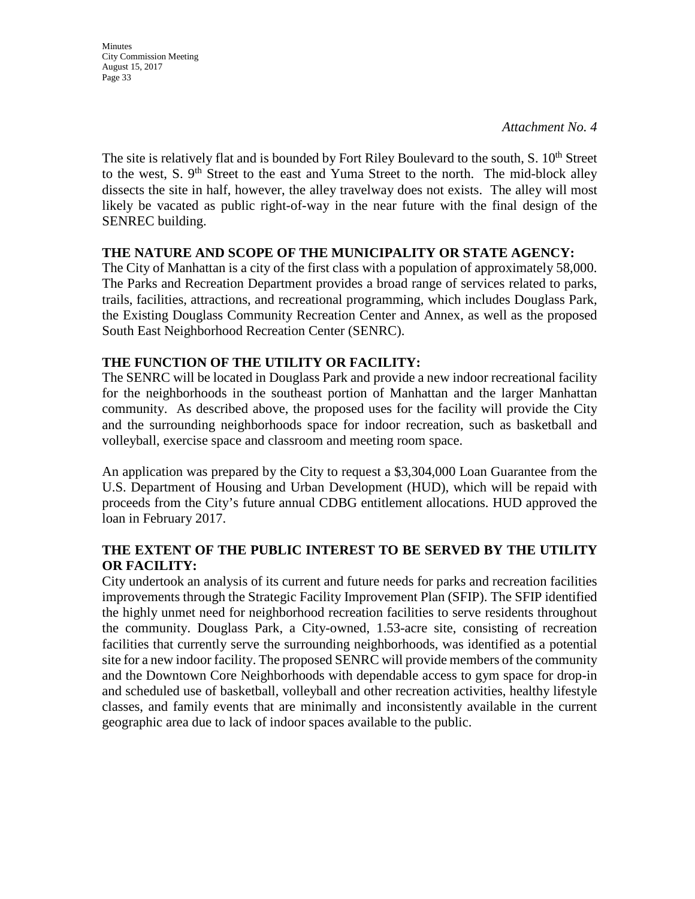**Minutes** City Commission Meeting August 15, 2017 Page 33

The site is relatively flat and is bounded by Fort Riley Boulevard to the south,  $S. 10<sup>th</sup>$  Street to the west, S.  $9<sup>th</sup>$  Street to the east and Yuma Street to the north. The mid-block alley dissects the site in half, however, the alley travelway does not exists. The alley will most likely be vacated as public right-of-way in the near future with the final design of the SENREC building.

### **THE NATURE AND SCOPE OF THE MUNICIPALITY OR STATE AGENCY:**

The City of Manhattan is a city of the first class with a population of approximately 58,000. The Parks and Recreation Department provides a broad range of services related to parks, trails, facilities, attractions, and recreational programming, which includes Douglass Park, the Existing Douglass Community Recreation Center and Annex, as well as the proposed South East Neighborhood Recreation Center (SENRC).

### **THE FUNCTION OF THE UTILITY OR FACILITY:**

The SENRC will be located in Douglass Park and provide a new indoor recreational facility for the neighborhoods in the southeast portion of Manhattan and the larger Manhattan community. As described above, the proposed uses for the facility will provide the City and the surrounding neighborhoods space for indoor recreation, such as basketball and volleyball, exercise space and classroom and meeting room space.

An application was prepared by the City to request a \$3,304,000 Loan Guarantee from the U.S. Department of Housing and Urban Development (HUD), which will be repaid with proceeds from the City's future annual CDBG entitlement allocations. HUD approved the loan in February 2017.

### **THE EXTENT OF THE PUBLIC INTEREST TO BE SERVED BY THE UTILITY OR FACILITY:**

City undertook an analysis of its current and future needs for parks and recreation facilities improvements through the Strategic Facility Improvement Plan (SFIP). The SFIP identified the highly unmet need for neighborhood recreation facilities to serve residents throughout the community. Douglass Park, a City-owned, 1.53-acre site, consisting of recreation facilities that currently serve the surrounding neighborhoods, was identified as a potential site for a new indoor facility. The proposed SENRC will provide members of the community and the Downtown Core Neighborhoods with dependable access to gym space for drop-in and scheduled use of basketball, volleyball and other recreation activities, healthy lifestyle classes, and family events that are minimally and inconsistently available in the current geographic area due to lack of indoor spaces available to the public.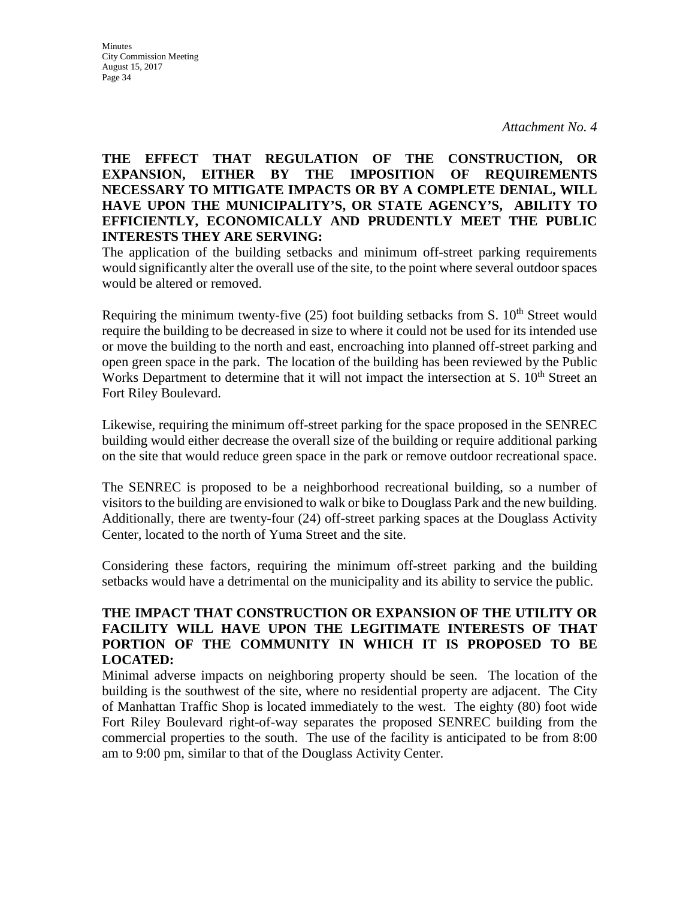#### **Minutes** City Commission Meeting August 15, 2017 Page 34

## **THE EFFECT THAT REGULATION OF THE CONSTRUCTION, OR EXPANSION, EITHER BY THE IMPOSITION OF REQUIREMENTS NECESSARY TO MITIGATE IMPACTS OR BY A COMPLETE DENIAL, WILL HAVE UPON THE MUNICIPALITY'S, OR STATE AGENCY'S, ABILITY TO EFFICIENTLY, ECONOMICALLY AND PRUDENTLY MEET THE PUBLIC INTERESTS THEY ARE SERVING:**

The application of the building setbacks and minimum off-street parking requirements would significantly alter the overall use of the site, to the point where several outdoor spaces would be altered or removed.

Requiring the minimum twenty-five  $(25)$  foot building setbacks from S.  $10<sup>th</sup>$  Street would require the building to be decreased in size to where it could not be used for its intended use or move the building to the north and east, encroaching into planned off-street parking and open green space in the park. The location of the building has been reviewed by the Public Works Department to determine that it will not impact the intersection at S.  $10<sup>th</sup>$  Street an Fort Riley Boulevard.

Likewise, requiring the minimum off-street parking for the space proposed in the SENREC building would either decrease the overall size of the building or require additional parking on the site that would reduce green space in the park or remove outdoor recreational space.

The SENREC is proposed to be a neighborhood recreational building, so a number of visitors to the building are envisioned to walk or bike to Douglass Park and the new building. Additionally, there are twenty-four (24) off-street parking spaces at the Douglass Activity Center, located to the north of Yuma Street and the site.

Considering these factors, requiring the minimum off-street parking and the building setbacks would have a detrimental on the municipality and its ability to service the public.

## **THE IMPACT THAT CONSTRUCTION OR EXPANSION OF THE UTILITY OR FACILITY WILL HAVE UPON THE LEGITIMATE INTERESTS OF THAT PORTION OF THE COMMUNITY IN WHICH IT IS PROPOSED TO BE LOCATED:**

Minimal adverse impacts on neighboring property should be seen. The location of the building is the southwest of the site, where no residential property are adjacent. The City of Manhattan Traffic Shop is located immediately to the west. The eighty (80) foot wide Fort Riley Boulevard right-of-way separates the proposed SENREC building from the commercial properties to the south. The use of the facility is anticipated to be from 8:00 am to 9:00 pm, similar to that of the Douglass Activity Center.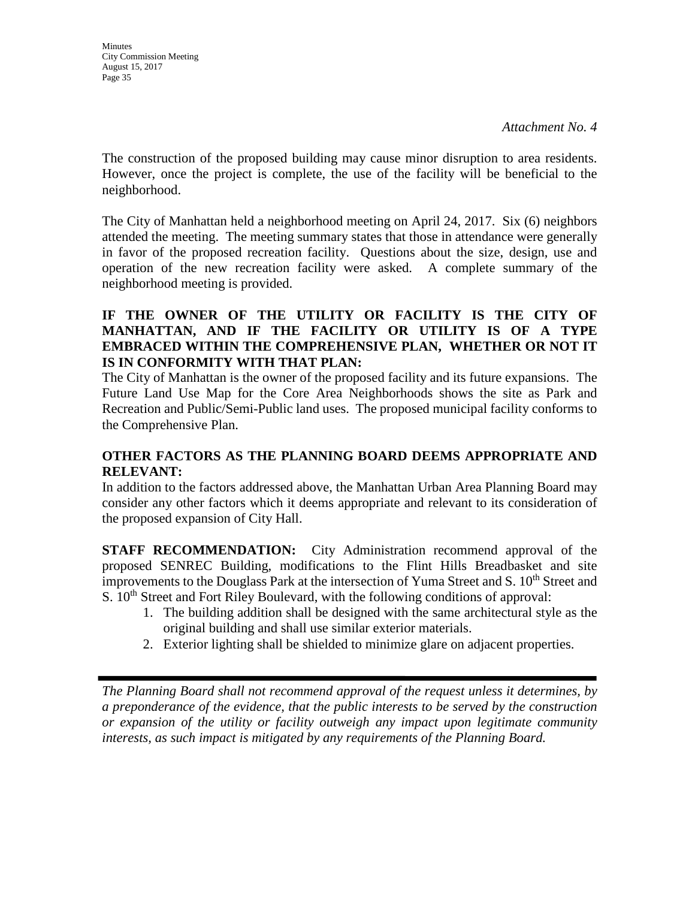The construction of the proposed building may cause minor disruption to area residents. However, once the project is complete, the use of the facility will be beneficial to the neighborhood.

The City of Manhattan held a neighborhood meeting on April 24, 2017. Six (6) neighbors attended the meeting. The meeting summary states that those in attendance were generally in favor of the proposed recreation facility. Questions about the size, design, use and operation of the new recreation facility were asked. A complete summary of the neighborhood meeting is provided.

## **IF THE OWNER OF THE UTILITY OR FACILITY IS THE CITY OF MANHATTAN, AND IF THE FACILITY OR UTILITY IS OF A TYPE EMBRACED WITHIN THE COMPREHENSIVE PLAN, WHETHER OR NOT IT IS IN CONFORMITY WITH THAT PLAN:**

The City of Manhattan is the owner of the proposed facility and its future expansions. The Future Land Use Map for the Core Area Neighborhoods shows the site as Park and Recreation and Public/Semi-Public land uses. The proposed municipal facility conforms to the Comprehensive Plan.

## **OTHER FACTORS AS THE PLANNING BOARD DEEMS APPROPRIATE AND RELEVANT:**

In addition to the factors addressed above, the Manhattan Urban Area Planning Board may consider any other factors which it deems appropriate and relevant to its consideration of the proposed expansion of City Hall.

**STAFF RECOMMENDATION:** City Administration recommend approval of the proposed SENREC Building, modifications to the Flint Hills Breadbasket and site improvements to the Douglass Park at the intersection of Yuma Street and S. 10<sup>th</sup> Street and S.  $10<sup>th</sup>$  Street and Fort Riley Boulevard, with the following conditions of approval:

- 1. The building addition shall be designed with the same architectural style as the original building and shall use similar exterior materials.
- 2. Exterior lighting shall be shielded to minimize glare on adjacent properties.

*The Planning Board shall not recommend approval of the request unless it determines, by a preponderance of the evidence, that the public interests to be served by the construction or expansion of the utility or facility outweigh any impact upon legitimate community interests, as such impact is mitigated by any requirements of the Planning Board.*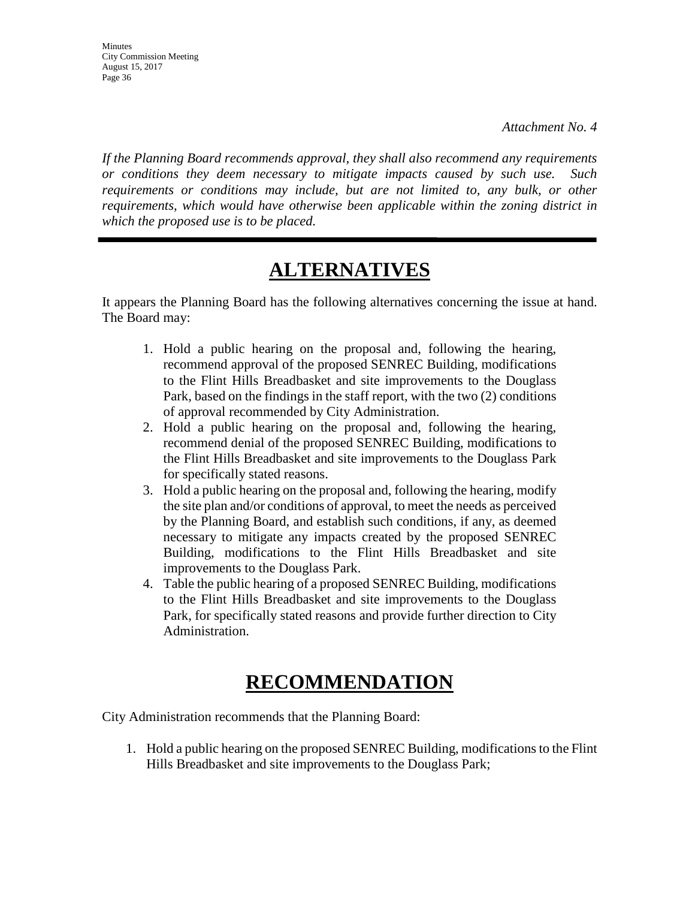**Minutes** City Commission Meeting August 15, 2017 Page 36

*If the Planning Board recommends approval, they shall also recommend any requirements or conditions they deem necessary to mitigate impacts caused by such use. Such requirements or conditions may include, but are not limited to, any bulk, or other requirements, which would have otherwise been applicable within the zoning district in which the proposed use is to be placed.* 

# **ALTERNATIVES**

It appears the Planning Board has the following alternatives concerning the issue at hand. The Board may:

- 1. Hold a public hearing on the proposal and, following the hearing, recommend approval of the proposed SENREC Building, modifications to the Flint Hills Breadbasket and site improvements to the Douglass Park, based on the findings in the staff report, with the two (2) conditions of approval recommended by City Administration.
- 2. Hold a public hearing on the proposal and, following the hearing, recommend denial of the proposed SENREC Building, modifications to the Flint Hills Breadbasket and site improvements to the Douglass Park for specifically stated reasons.
- 3. Hold a public hearing on the proposal and, following the hearing, modify the site plan and/or conditions of approval, to meet the needs as perceived by the Planning Board, and establish such conditions, if any, as deemed necessary to mitigate any impacts created by the proposed SENREC Building, modifications to the Flint Hills Breadbasket and site improvements to the Douglass Park.
- 4. Table the public hearing of a proposed SENREC Building, modifications to the Flint Hills Breadbasket and site improvements to the Douglass Park, for specifically stated reasons and provide further direction to City Administration.

# **RECOMMENDATION**

City Administration recommends that the Planning Board:

1. Hold a public hearing on the proposed SENREC Building, modifications to the Flint Hills Breadbasket and site improvements to the Douglass Park;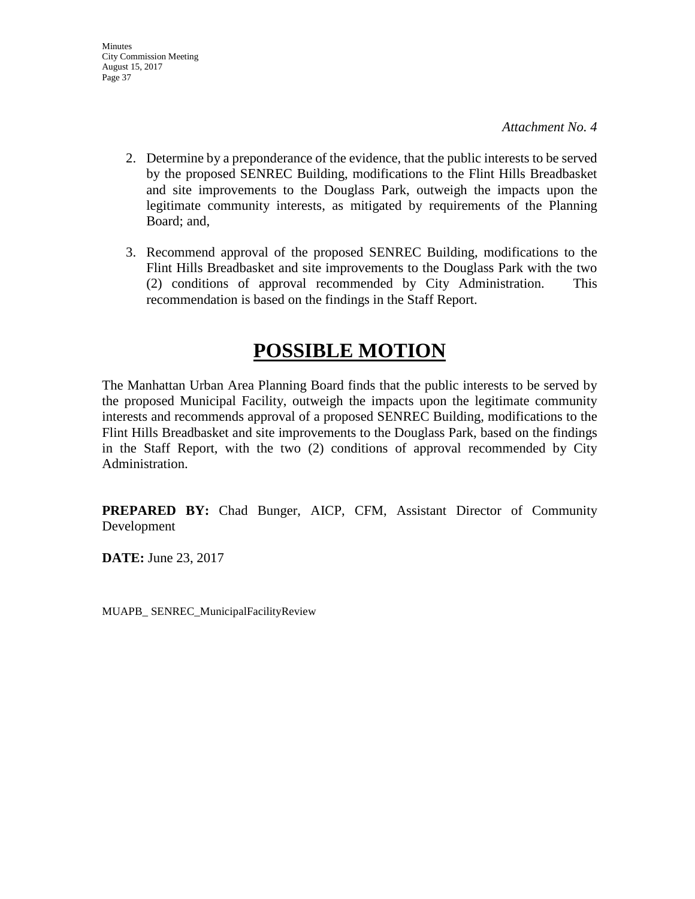- 2. Determine by a preponderance of the evidence, that the public interests to be served by the proposed SENREC Building, modifications to the Flint Hills Breadbasket and site improvements to the Douglass Park, outweigh the impacts upon the legitimate community interests, as mitigated by requirements of the Planning Board; and,
- 3. Recommend approval of the proposed SENREC Building, modifications to the Flint Hills Breadbasket and site improvements to the Douglass Park with the two (2) conditions of approval recommended by City Administration. This recommendation is based on the findings in the Staff Report.

# **POSSIBLE MOTION**

The Manhattan Urban Area Planning Board finds that the public interests to be served by the proposed Municipal Facility, outweigh the impacts upon the legitimate community interests and recommends approval of a proposed SENREC Building, modifications to the Flint Hills Breadbasket and site improvements to the Douglass Park, based on the findings in the Staff Report, with the two (2) conditions of approval recommended by City Administration.

**PREPARED BY:** Chad Bunger, AICP, CFM, Assistant Director of Community Development

**DATE:** June 23, 2017

MUAPB\_ SENREC\_MunicipalFacilityReview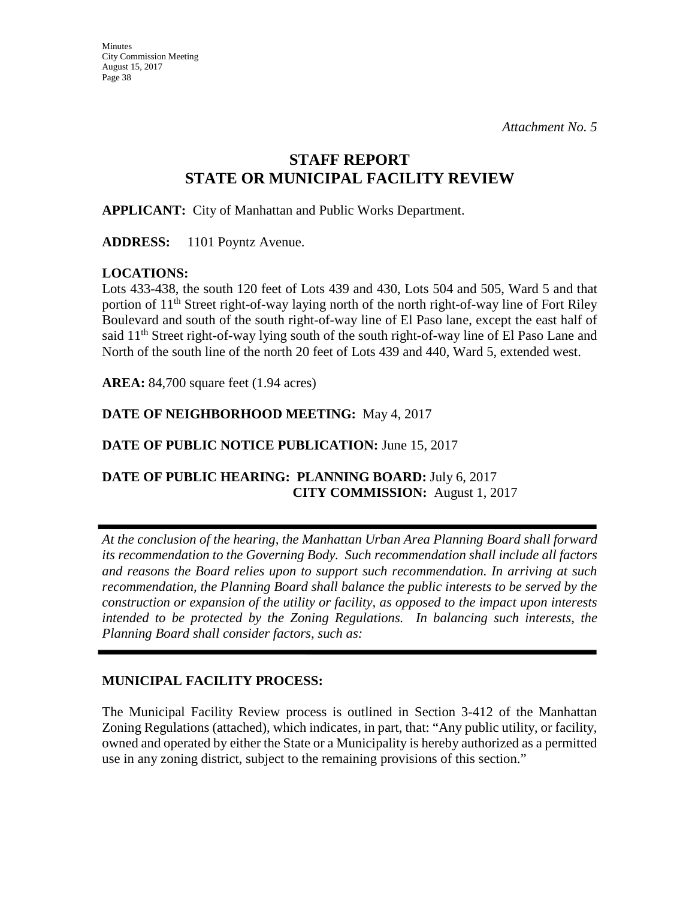## **STAFF REPORT STATE OR MUNICIPAL FACILITY REVIEW**

**APPLICANT:** City of Manhattan and Public Works Department.

**ADDRESS:** 1101 Poyntz Avenue.

## **LOCATIONS:**

Lots 433-438, the south 120 feet of Lots 439 and 430, Lots 504 and 505, Ward 5 and that portion of 11<sup>th</sup> Street right-of-way laying north of the north right-of-way line of Fort Riley Boulevard and south of the south right-of-way line of El Paso lane, except the east half of said 11<sup>th</sup> Street right-of-way lying south of the south right-of-way line of El Paso Lane and North of the south line of the north 20 feet of Lots 439 and 440, Ward 5, extended west.

**AREA:** 84,700 square feet (1.94 acres)

## **DATE OF NEIGHBORHOOD MEETING:** May 4, 2017

## **DATE OF PUBLIC NOTICE PUBLICATION:** June 15, 2017

## **DATE OF PUBLIC HEARING: PLANNING BOARD:** July 6, 2017  **CITY COMMISSION:** August 1, 2017

*At the conclusion of the hearing, the Manhattan Urban Area Planning Board shall forward its recommendation to the Governing Body. Such recommendation shall include all factors and reasons the Board relies upon to support such recommendation. In arriving at such recommendation, the Planning Board shall balance the public interests to be served by the construction or expansion of the utility or facility, as opposed to the impact upon interests intended to be protected by the Zoning Regulations. In balancing such interests, the Planning Board shall consider factors, such as:* 

## **MUNICIPAL FACILITY PROCESS:**

The Municipal Facility Review process is outlined in Section 3-412 of the Manhattan Zoning Regulations (attached), which indicates, in part, that: "Any public utility, or facility, owned and operated by either the State or a Municipality is hereby authorized as a permitted use in any zoning district, subject to the remaining provisions of this section."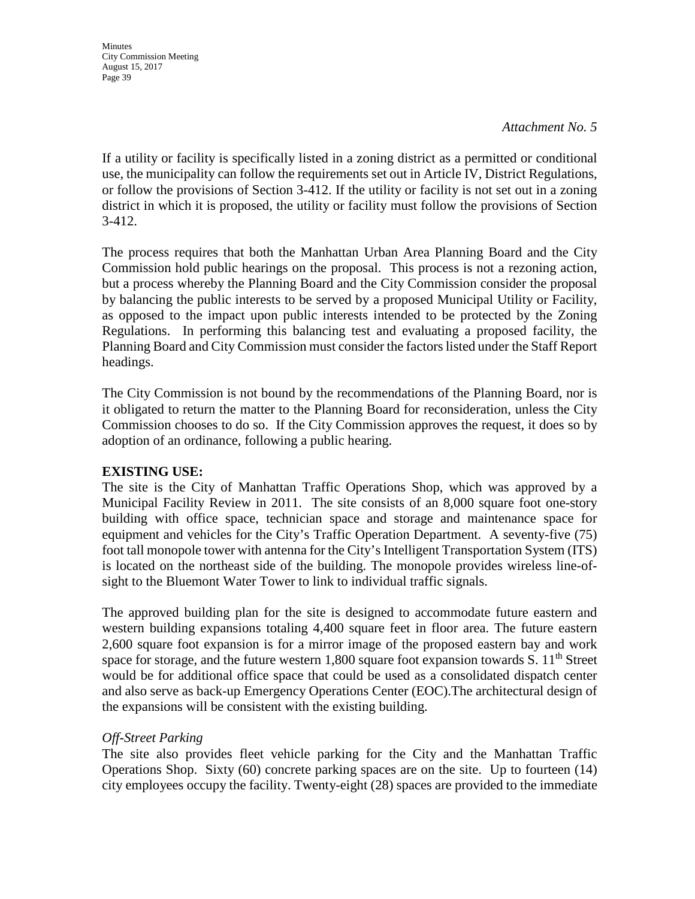#### *Attachment No. 5*

If a utility or facility is specifically listed in a zoning district as a permitted or conditional use, the municipality can follow the requirements set out in Article IV, District Regulations, or follow the provisions of Section 3-412. If the utility or facility is not set out in a zoning district in which it is proposed, the utility or facility must follow the provisions of Section 3-412.

The process requires that both the Manhattan Urban Area Planning Board and the City Commission hold public hearings on the proposal. This process is not a rezoning action, but a process whereby the Planning Board and the City Commission consider the proposal by balancing the public interests to be served by a proposed Municipal Utility or Facility, as opposed to the impact upon public interests intended to be protected by the Zoning Regulations. In performing this balancing test and evaluating a proposed facility, the Planning Board and City Commission must consider the factors listed under the Staff Report headings.

The City Commission is not bound by the recommendations of the Planning Board, nor is it obligated to return the matter to the Planning Board for reconsideration, unless the City Commission chooses to do so. If the City Commission approves the request, it does so by adoption of an ordinance, following a public hearing.

#### **EXISTING USE:**

The site is the City of Manhattan Traffic Operations Shop, which was approved by a Municipal Facility Review in 2011. The site consists of an 8,000 square foot one-story building with office space, technician space and storage and maintenance space for equipment and vehicles for the City's Traffic Operation Department. A seventy-five (75) foot tall monopole tower with antenna for the City's Intelligent Transportation System (ITS) is located on the northeast side of the building. The monopole provides wireless line-ofsight to the Bluemont Water Tower to link to individual traffic signals.

The approved building plan for the site is designed to accommodate future eastern and western building expansions totaling 4,400 square feet in floor area. The future eastern 2,600 square foot expansion is for a mirror image of the proposed eastern bay and work space for storage, and the future western  $1,800$  square foot expansion towards S.  $11<sup>th</sup>$  Street would be for additional office space that could be used as a consolidated dispatch center and also serve as back-up Emergency Operations Center (EOC).The architectural design of the expansions will be consistent with the existing building.

## *Off-Street Parking*

The site also provides fleet vehicle parking for the City and the Manhattan Traffic Operations Shop. Sixty (60) concrete parking spaces are on the site. Up to fourteen (14) city employees occupy the facility. Twenty-eight (28) spaces are provided to the immediate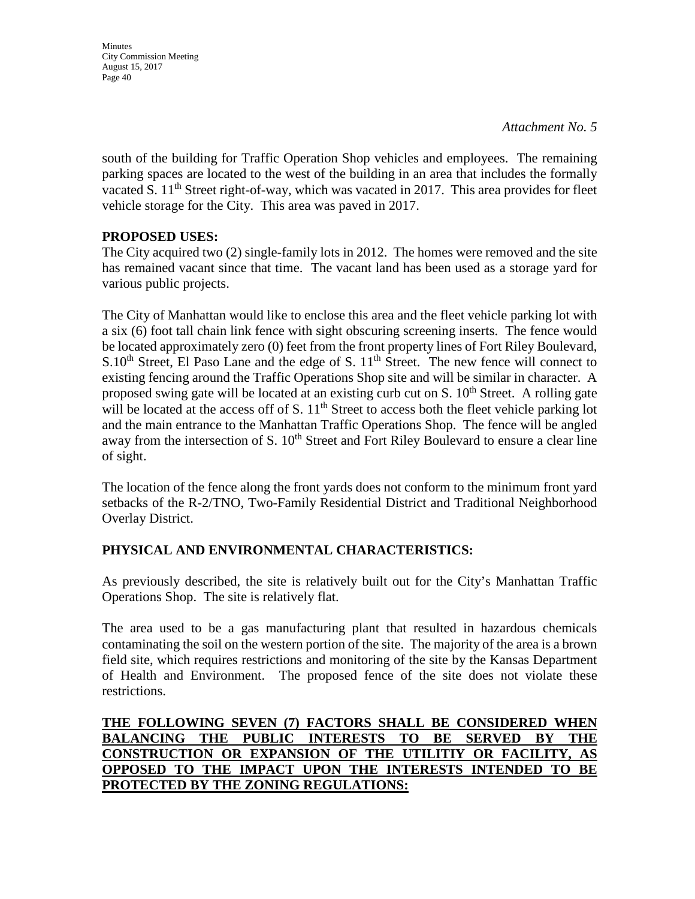**Minutes** City Commission Meeting August 15, 2017 Page 40

south of the building for Traffic Operation Shop vehicles and employees. The remaining parking spaces are located to the west of the building in an area that includes the formally vacated S.  $11<sup>th</sup>$  Street right-of-way, which was vacated in 2017. This area provides for fleet vehicle storage for the City. This area was paved in 2017.

## **PROPOSED USES:**

The City acquired two (2) single-family lots in 2012. The homes were removed and the site has remained vacant since that time. The vacant land has been used as a storage yard for various public projects.

The City of Manhattan would like to enclose this area and the fleet vehicle parking lot with a six (6) foot tall chain link fence with sight obscuring screening inserts. The fence would be located approximately zero (0) feet from the front property lines of Fort Riley Boulevard,  $S.10<sup>th</sup>$  Street, El Paso Lane and the edge of S.  $11<sup>th</sup>$  Street. The new fence will connect to existing fencing around the Traffic Operations Shop site and will be similar in character. A proposed swing gate will be located at an existing curb cut on S.  $10<sup>th</sup>$  Street. A rolling gate will be located at the access off of S.  $11<sup>th</sup>$  Street to access both the fleet vehicle parking lot and the main entrance to the Manhattan Traffic Operations Shop. The fence will be angled away from the intersection of S. 10<sup>th</sup> Street and Fort Riley Boulevard to ensure a clear line of sight.

The location of the fence along the front yards does not conform to the minimum front yard setbacks of the R-2/TNO, Two-Family Residential District and Traditional Neighborhood Overlay District.

## **PHYSICAL AND ENVIRONMENTAL CHARACTERISTICS:**

As previously described, the site is relatively built out for the City's Manhattan Traffic Operations Shop. The site is relatively flat.

The area used to be a gas manufacturing plant that resulted in hazardous chemicals contaminating the soil on the western portion of the site. The majority of the area is a brown field site, which requires restrictions and monitoring of the site by the Kansas Department of Health and Environment. The proposed fence of the site does not violate these restrictions.

## **THE FOLLOWING SEVEN (7) FACTORS SHALL BE CONSIDERED WHEN BALANCING THE PUBLIC INTERESTS TO BE SERVED BY THE CONSTRUCTION OR EXPANSION OF THE UTILITIY OR FACILITY, AS OPPOSED TO THE IMPACT UPON THE INTERESTS INTENDED TO BE PROTECTED BY THE ZONING REGULATIONS:**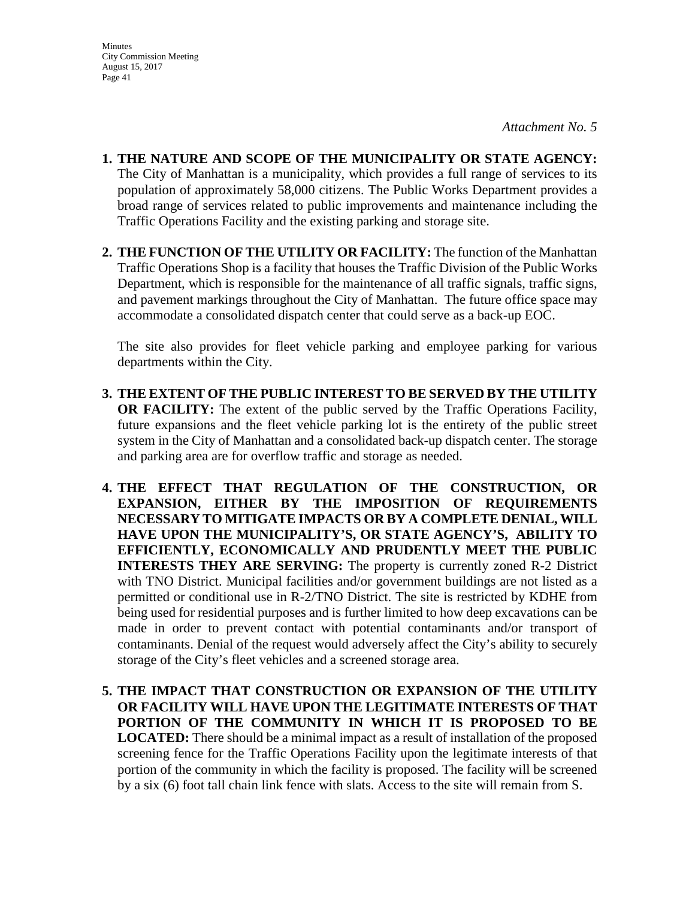- **1. THE NATURE AND SCOPE OF THE MUNICIPALITY OR STATE AGENCY:**  The City of Manhattan is a municipality, which provides a full range of services to its population of approximately 58,000 citizens. The Public Works Department provides a broad range of services related to public improvements and maintenance including the Traffic Operations Facility and the existing parking and storage site.
- **2. THE FUNCTION OF THE UTILITY OR FACILITY:** The function of the Manhattan Traffic Operations Shop is a facility that houses the Traffic Division of the Public Works Department, which is responsible for the maintenance of all traffic signals, traffic signs, and pavement markings throughout the City of Manhattan. The future office space may accommodate a consolidated dispatch center that could serve as a back-up EOC.

The site also provides for fleet vehicle parking and employee parking for various departments within the City.

- **3. THE EXTENT OF THE PUBLIC INTEREST TO BE SERVED BY THE UTILITY OR FACILITY:** The extent of the public served by the Traffic Operations Facility, future expansions and the fleet vehicle parking lot is the entirety of the public street system in the City of Manhattan and a consolidated back-up dispatch center. The storage and parking area are for overflow traffic and storage as needed.
- **4. THE EFFECT THAT REGULATION OF THE CONSTRUCTION, OR EXPANSION, EITHER BY THE IMPOSITION OF REQUIREMENTS NECESSARY TO MITIGATE IMPACTS OR BY A COMPLETE DENIAL, WILL HAVE UPON THE MUNICIPALITY'S, OR STATE AGENCY'S, ABILITY TO EFFICIENTLY, ECONOMICALLY AND PRUDENTLY MEET THE PUBLIC INTERESTS THEY ARE SERVING:** The property is currently zoned R-2 District with TNO District. Municipal facilities and/or government buildings are not listed as a permitted or conditional use in R-2/TNO District. The site is restricted by KDHE from being used for residential purposes and is further limited to how deep excavations can be made in order to prevent contact with potential contaminants and/or transport of contaminants. Denial of the request would adversely affect the City's ability to securely storage of the City's fleet vehicles and a screened storage area.
- **5. THE IMPACT THAT CONSTRUCTION OR EXPANSION OF THE UTILITY OR FACILITY WILL HAVE UPON THE LEGITIMATE INTERESTS OF THAT PORTION OF THE COMMUNITY IN WHICH IT IS PROPOSED TO BE LOCATED:** There should be a minimal impact as a result of installation of the proposed screening fence for the Traffic Operations Facility upon the legitimate interests of that portion of the community in which the facility is proposed. The facility will be screened by a six (6) foot tall chain link fence with slats. Access to the site will remain from S.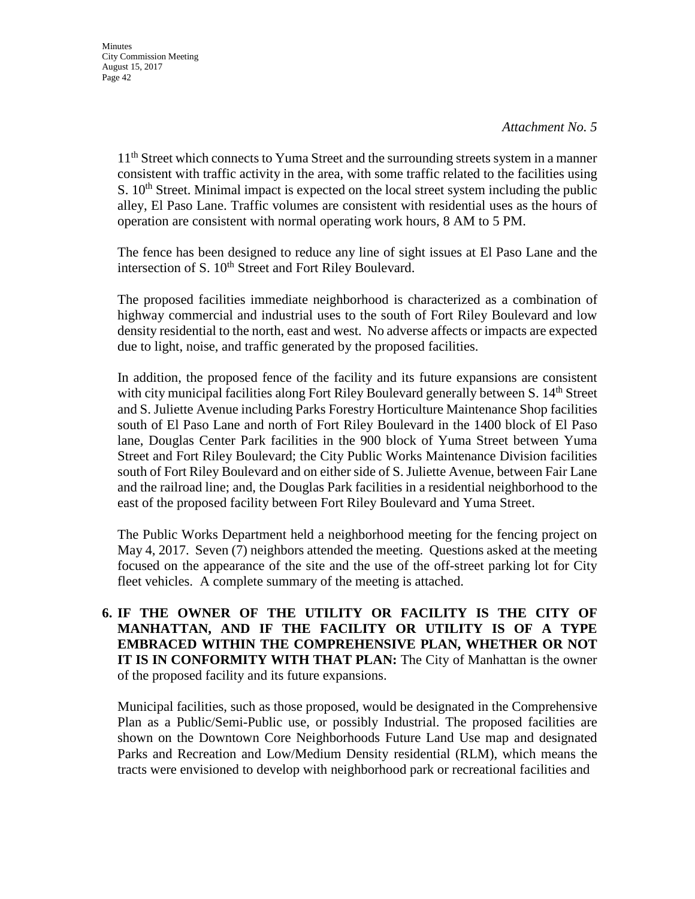11<sup>th</sup> Street which connects to Yuma Street and the surrounding streets system in a manner consistent with traffic activity in the area, with some traffic related to the facilities using S.  $10<sup>th</sup>$  Street. Minimal impact is expected on the local street system including the public alley, El Paso Lane. Traffic volumes are consistent with residential uses as the hours of operation are consistent with normal operating work hours, 8 AM to 5 PM.

The fence has been designed to reduce any line of sight issues at El Paso Lane and the intersection of S. 10<sup>th</sup> Street and Fort Riley Boulevard.

The proposed facilities immediate neighborhood is characterized as a combination of highway commercial and industrial uses to the south of Fort Riley Boulevard and low density residential to the north, east and west. No adverse affects or impacts are expected due to light, noise, and traffic generated by the proposed facilities.

In addition, the proposed fence of the facility and its future expansions are consistent with city municipal facilities along Fort Riley Boulevard generally between S. 14<sup>th</sup> Street and S. Juliette Avenue including Parks Forestry Horticulture Maintenance Shop facilities south of El Paso Lane and north of Fort Riley Boulevard in the 1400 block of El Paso lane, Douglas Center Park facilities in the 900 block of Yuma Street between Yuma Street and Fort Riley Boulevard; the City Public Works Maintenance Division facilities south of Fort Riley Boulevard and on either side of S. Juliette Avenue, between Fair Lane and the railroad line; and, the Douglas Park facilities in a residential neighborhood to the east of the proposed facility between Fort Riley Boulevard and Yuma Street.

The Public Works Department held a neighborhood meeting for the fencing project on May 4, 2017. Seven (7) neighbors attended the meeting. Questions asked at the meeting focused on the appearance of the site and the use of the off-street parking lot for City fleet vehicles. A complete summary of the meeting is attached.

**6. IF THE OWNER OF THE UTILITY OR FACILITY IS THE CITY OF MANHATTAN, AND IF THE FACILITY OR UTILITY IS OF A TYPE EMBRACED WITHIN THE COMPREHENSIVE PLAN, WHETHER OR NOT IT IS IN CONFORMITY WITH THAT PLAN:** The City of Manhattan is the owner of the proposed facility and its future expansions.

 Municipal facilities, such as those proposed, would be designated in the Comprehensive Plan as a Public/Semi-Public use, or possibly Industrial. The proposed facilities are shown on the Downtown Core Neighborhoods Future Land Use map and designated Parks and Recreation and Low/Medium Density residential (RLM), which means the tracts were envisioned to develop with neighborhood park or recreational facilities and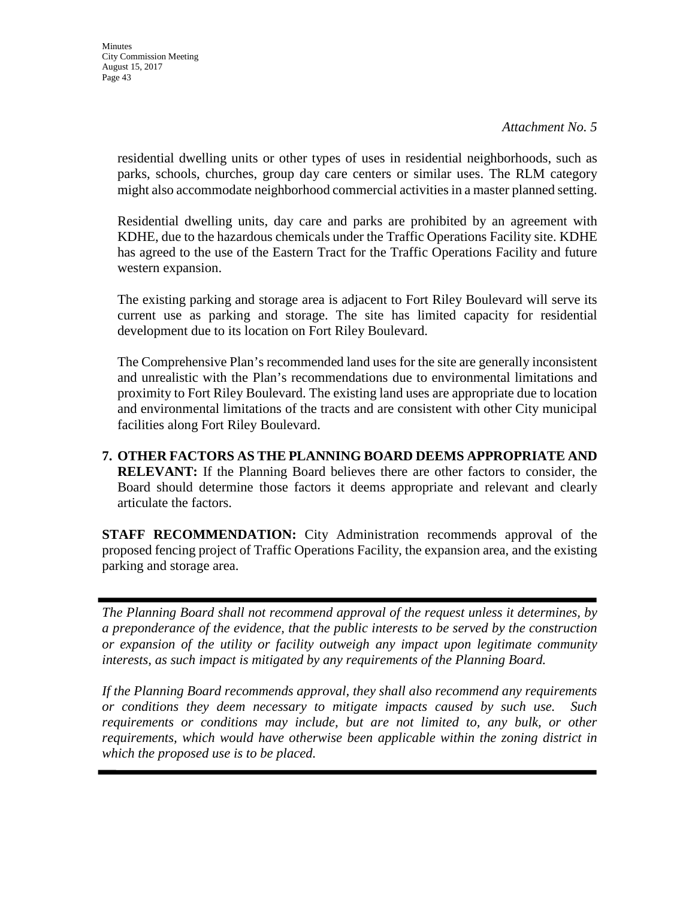residential dwelling units or other types of uses in residential neighborhoods, such as parks, schools, churches, group day care centers or similar uses. The RLM category might also accommodate neighborhood commercial activities in a master planned setting.

Residential dwelling units, day care and parks are prohibited by an agreement with KDHE, due to the hazardous chemicals under the Traffic Operations Facility site. KDHE has agreed to the use of the Eastern Tract for the Traffic Operations Facility and future western expansion.

The existing parking and storage area is adjacent to Fort Riley Boulevard will serve its current use as parking and storage. The site has limited capacity for residential development due to its location on Fort Riley Boulevard.

The Comprehensive Plan's recommended land uses for the site are generally inconsistent and unrealistic with the Plan's recommendations due to environmental limitations and proximity to Fort Riley Boulevard. The existing land uses are appropriate due to location and environmental limitations of the tracts and are consistent with other City municipal facilities along Fort Riley Boulevard.

**7. OTHER FACTORS AS THE PLANNING BOARD DEEMS APPROPRIATE AND RELEVANT:** If the Planning Board believes there are other factors to consider, the Board should determine those factors it deems appropriate and relevant and clearly articulate the factors.

**STAFF RECOMMENDATION:** City Administration recommends approval of the proposed fencing project of Traffic Operations Facility, the expansion area, and the existing parking and storage area.

*The Planning Board shall not recommend approval of the request unless it determines, by a preponderance of the evidence, that the public interests to be served by the construction or expansion of the utility or facility outweigh any impact upon legitimate community interests, as such impact is mitigated by any requirements of the Planning Board.* 

*If the Planning Board recommends approval, they shall also recommend any requirements or conditions they deem necessary to mitigate impacts caused by such use. Such*  requirements or conditions may include, but are not limited to, any bulk, or other *requirements, which would have otherwise been applicable within the zoning district in which the proposed use is to be placed.*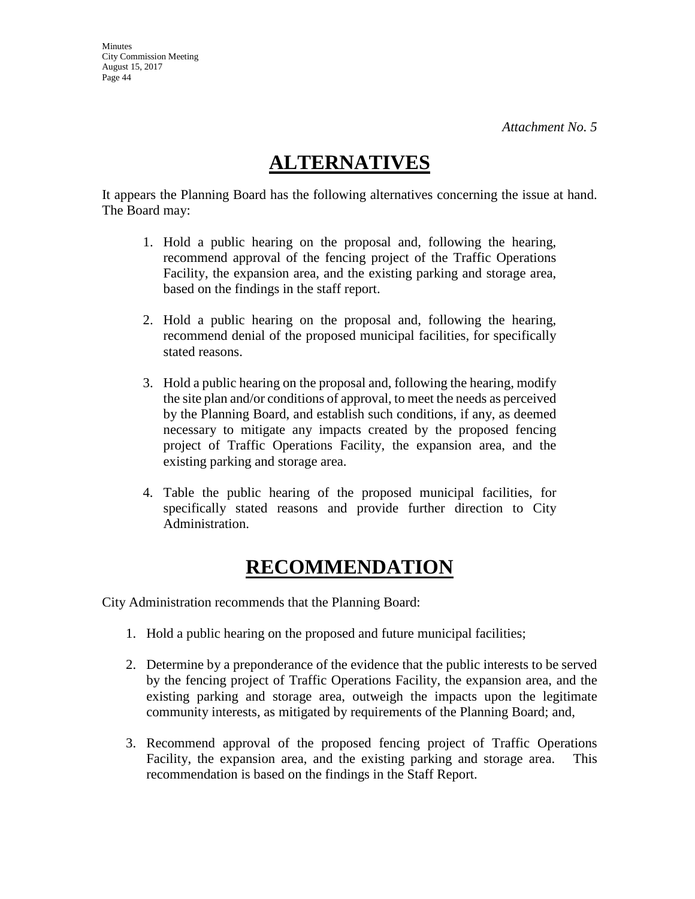# **ALTERNATIVES**

It appears the Planning Board has the following alternatives concerning the issue at hand. The Board may:

- 1. Hold a public hearing on the proposal and, following the hearing, recommend approval of the fencing project of the Traffic Operations Facility, the expansion area, and the existing parking and storage area, based on the findings in the staff report.
- 2. Hold a public hearing on the proposal and, following the hearing, recommend denial of the proposed municipal facilities, for specifically stated reasons.
- 3. Hold a public hearing on the proposal and, following the hearing, modify the site plan and/or conditions of approval, to meet the needs as perceived by the Planning Board, and establish such conditions, if any, as deemed necessary to mitigate any impacts created by the proposed fencing project of Traffic Operations Facility, the expansion area, and the existing parking and storage area.
- 4. Table the public hearing of the proposed municipal facilities, for specifically stated reasons and provide further direction to City Administration.

# **RECOMMENDATION**

City Administration recommends that the Planning Board:

- 1. Hold a public hearing on the proposed and future municipal facilities;
- 2. Determine by a preponderance of the evidence that the public interests to be served by the fencing project of Traffic Operations Facility, the expansion area, and the existing parking and storage area, outweigh the impacts upon the legitimate community interests, as mitigated by requirements of the Planning Board; and,
- 3. Recommend approval of the proposed fencing project of Traffic Operations Facility, the expansion area, and the existing parking and storage area. This recommendation is based on the findings in the Staff Report.